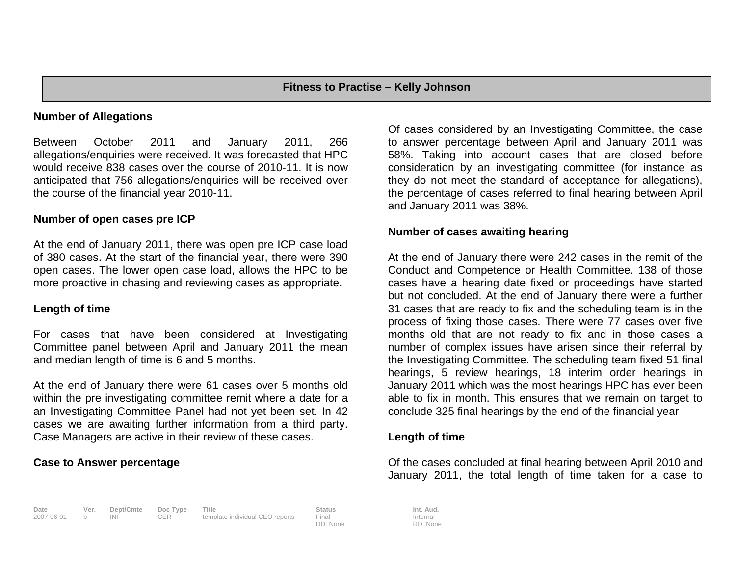# **Number of Allegations**

Between October 2011 and January 2011, 266 allegations/enquiries were received. It was forecasted that HPC would receive 838 cases over the course of 2010-11. It is now anticipated that 756 allegations/enquiries will be received over the course of the financial year 2010-11.

## **Number of open cases pre ICP**

At the end of January 2011, there was open pre ICP case load of 380 cases. At the start of the financial year, there were 390 open cases. The lower open case load, allows the HPC to be more proactive in chasing and reviewing cases as appropriate.

# **Length of time**

For cases that have been considered at Investigating Committee panel between April and January 2011 the mean and median length of time is 6 and 5 months.

At the end of January there were 61 cases over 5 months old within the pre investigating committee remit where a date for a an Investigating Committee Panel had not yet been set. In 42 cases we are awaiting further information from a third party. Case Managers are active in their review of these cases.

## **Case to Answer percentage**

Of cases considered by an Investigating Committee, the case to answer percentage between April and January 2011 was 58%. Taking into account cases that are closed before consideration by an investigating committee (for instance as they do not meet the standard of acceptance for allegations), the percentage of cases referred to final hearing between April and January 2011 was 38%.

## **Number of cases awaiting hearing**

At the end of January there were 242 cases in the remit of the Conduct and Competence or Health Committee. 138 of those cases have a hearing date fixed or proceedings have started but not concluded. At the end of January there were a further 31 cases that are ready to fix and the scheduling team is in the process of fixing those cases. There were 77 cases over five months old that are not ready to fix and in those cases a number of complex issues have arisen since their referral by the Investigating Committee. The scheduling team fixed 51 final hearings, 5 review hearings, 18 interim order hearings in January 2011 which was the most hearings HPC has ever been able to fix in month. This ensures that we remain on target to conclude 325 final hearings by the end of the financial year

## **Length of time**

Of the cases concluded at final hearing between April 2010 and January 2011, the total length of time taken for a case to

Internal RD: None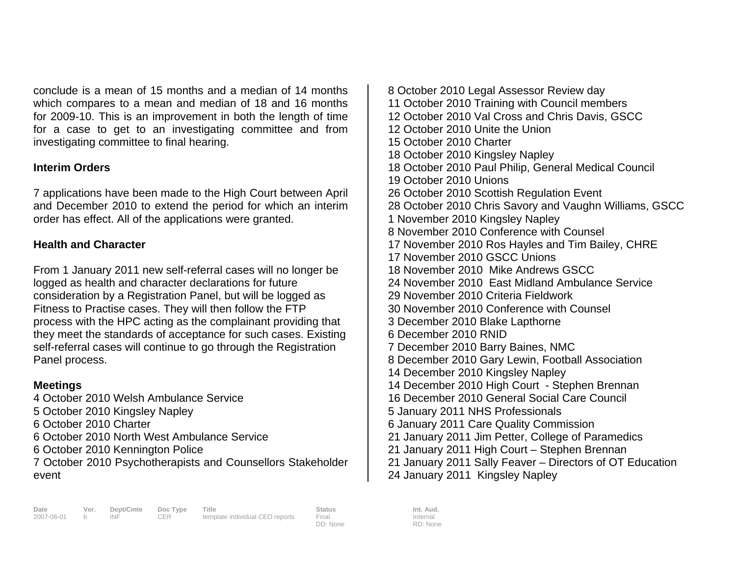conclude is a mean of 15 months and a median of 14 months which compares to a mean and median of 18 and 16 months for 2009-10. This is an improvement in both the length of time for a case to get to an investigating committee and from investigating committee to final hearing.

# **Interim Orders**

7 applications have been made to the High Court between April and December 2010 to extend the period for which an interim order has effect. All of the applications were granted.

# **Health and Character**

From 1 January 2011 new self-referral cases will no longer be logged as health and character declarations for future consideration by a Registration Panel, but will be logged as Fitness to Practise cases. They will then follow the FTP process with the HPC acting as the complainant providing that they meet the standards of acceptance for such cases. Existing self-referral cases will continue to go through the Registration Panel process.

# **Meetings**

4 October 2010 Welsh Ambulance Service 5 October 2010 Kingsley Napley 6 October 2010 Charter 6 October 2010 North West Ambulance Service 6 October 2010 Kennington Police 7 October 2010 Psychotherapists and Counsellors Stakeholder event

8 October 2010 Legal Assessor Review day 11 October 2010 Training with Council members 12 October 2010 Val Cross and Chris Davis, GSCC 12 October 2010 Unite the Union 15 October 2010 Charter 18 October 2010 Kingsley Napley 18 October 2010 Paul Philip, General Medical Council 19 October 2010 Unions 26 October 2010 Scottish Regulation Event 28 October 2010 Chris Savory and Vaughn Williams, GSCC 1 November 2010 Kingsley Napley 8 November 2010 Conference with Counsel 17 November 2010 Ros Hayles and Tim Bailey, CHRE 17 November 2010 GSCC Unions 18 November 2010 Mike Andrews GSCC 24 November 2010 East Midland Ambulance Service 29 November 2010 Criteria Fieldwork 30 November 2010 Conference with Counsel 3 December 2010 Blake Lapthorne 6 December 2010 RNID 7 December 2010 Barry Baines, NMC 8 December 2010 Gary Lewin, Football Association 14 December 2010 Kingsley Napley 14 December 2010 High Court - Stephen Brennan 16 December 2010 General Social Care Council 5 January 2011 NHS Professionals 6 January 2011 Care Quality Commission 21 January 2011 Jim Petter, College of Paramedics 21 January 2011 High Court – Stephen Brennan 21 January 2011 Sally Feaver – Directors of OT Education 24 January 2011 Kingsley Napley

DD: None

Internal RD: None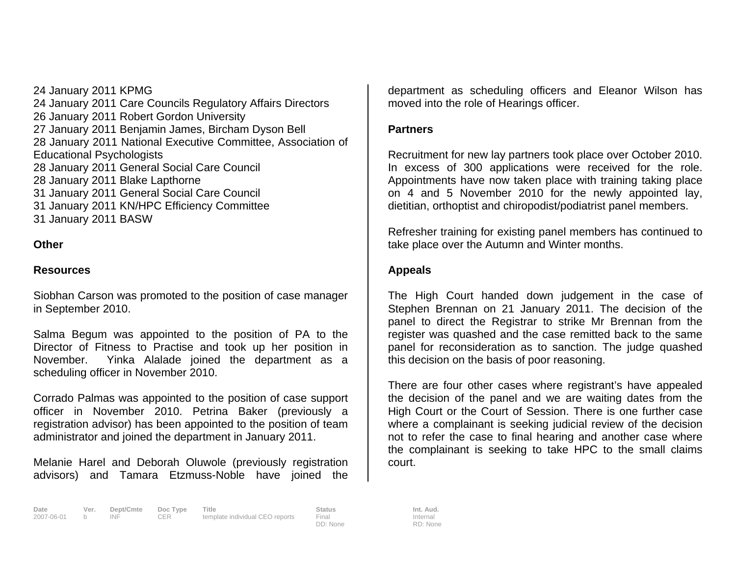24 January 2011 KPMG 24 January 2011 Care Councils Regulatory Affairs Directors 26 January 2011 Robert Gordon University 27 January 2011 Benjamin James, Bircham Dyson Bell 28 January 2011 National Executive Committee, Association of Educational Psychologists 28 January 2011 General Social Care Council 28 January 2011 Blake Lapthorne 31 January 2011 General Social Care Council 31 January 2011 KN/HPC Efficiency Committee 31 January 2011 BASW

## **Other**

## **Resources**

Siobhan Carson was promoted to the position of case manager in September 2010.

Salma Begum was appointed to the position of PA to the Director of Fitness to Practise and took up her position in November. Yinka Alalade joined the department as a scheduling officer in November 2010.

Corrado Palmas was appointed to the position of case support officer in November 2010. Petrina Baker (previously a registration advisor) has been appointed to the position of team administrator and joined the department in January 2011.

Melanie Harel and Deborah Oluwole (previously registration advisors) and Tamara Etzmuss-Noble have joined the

department as scheduling officers and Eleanor Wilson has moved into the role of Hearings officer.

## **Partners**

Recruitment for new lay partners took place over October 2010. In excess of 300 applications were received for the role. Appointments have now taken place with training taking place on 4 and 5 November 2010 for the newly appointed lay, dietitian, orthoptist and chiropodist/podiatrist panel members.

Refresher training for existing panel members has continued to take place over the Autumn and Winter months.

# **Appeals**

The High Court handed down judgement in the case of Stephen Brennan on 21 January 2011. The decision of the panel to direct the Registrar to strike Mr Brennan from the register was quashed and the case remitted back to the same panel for reconsideration as to sanction. The judge quashed this decision on the basis of poor reasoning.

There are four other cases where registrant's have appealed the decision of the panel and we are waiting dates from the High Court or the Court of Session. There is one further case where a complainant is seeking judicial review of the decision not to refer the case to final hearing and another case where the complainant is seeking to take HPC to the small claims court.

Internal RD: None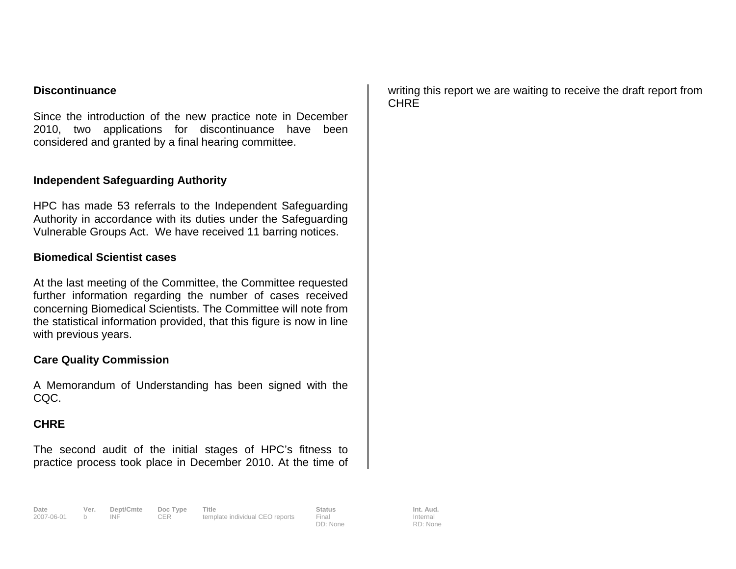# **Discontinuance**

Since the introduction of the new practice note in December 2010, two applications for discontinuance have been considered and granted by a final hearing committee.

# **Independent Safeguarding Authority**

HPC has made 53 referrals to the Independent Safeguarding Authority in accordance with its duties under the Safeguarding Vulnerable Groups Act. We have received 11 barring notices.

## **Biomedical Scientist cases**

At the last meeting of the Committee, the Committee requested further information regarding the number of cases received concerning Biomedical Scientists. The Committee will note from the statistical information provided, that this figure is now in line with previous years.

## **Care Quality Commission**

A Memorandum of Understanding has been signed with the CQC.

# **CHRE**

The second audit of the initial stages of HPC's fitness to practice process took place in December 2010. At the time of writing this report we are waiting to receive the draft report from **CHRE**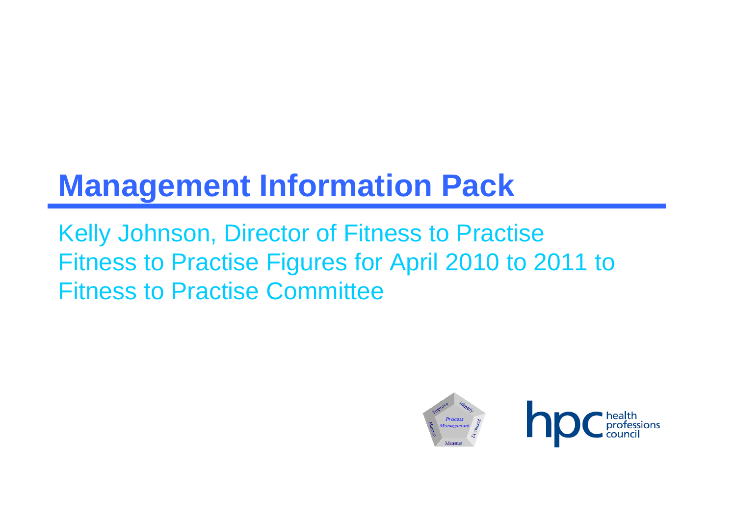# **Management Information Pack**

Kelly Johnson, Director of Fitness to Practise Fitness to Practise Figures for April 2010 to 2011 to Fitness to Practise Committee

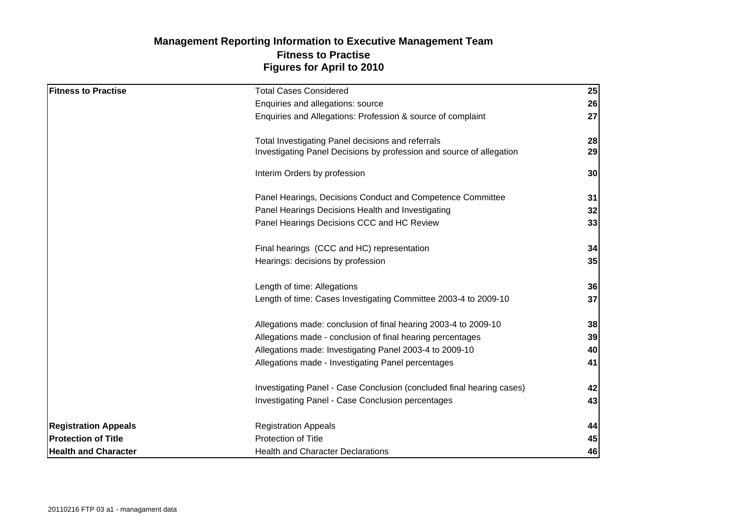# **Figures for April to 2010 Management Reporting Information to Executive Management Team Fitness to Practise**

| <b>Fitness to Practise</b>  | <b>Total Cases Considered</b>                                         | 25 |
|-----------------------------|-----------------------------------------------------------------------|----|
|                             | Enquiries and allegations: source                                     | 26 |
|                             | Enquiries and Allegations: Profession & source of complaint           | 27 |
|                             | Total Investigating Panel decisions and referrals                     | 28 |
|                             | Investigating Panel Decisions by profession and source of allegation  | 29 |
|                             | Interim Orders by profession                                          | 30 |
|                             | Panel Hearings, Decisions Conduct and Competence Committee            | 31 |
|                             | Panel Hearings Decisions Health and Investigating                     | 32 |
|                             | Panel Hearings Decisions CCC and HC Review                            | 33 |
|                             | Final hearings (CCC and HC) representation                            | 34 |
|                             | Hearings: decisions by profession                                     | 35 |
|                             | Length of time: Allegations                                           | 36 |
|                             | Length of time: Cases Investigating Committee 2003-4 to 2009-10       | 37 |
|                             | Allegations made: conclusion of final hearing 2003-4 to 2009-10       | 38 |
|                             | Allegations made - conclusion of final hearing percentages            | 39 |
|                             | Allegations made: Investigating Panel 2003-4 to 2009-10               | 40 |
|                             | Allegations made - Investigating Panel percentages                    | 41 |
|                             | Investigating Panel - Case Conclusion (concluded final hearing cases) | 42 |
|                             | Investigating Panel - Case Conclusion percentages                     | 43 |
| <b>Registration Appeals</b> | <b>Registration Appeals</b>                                           | 44 |
| <b>Protection of Title</b>  | Protection of Title                                                   | 45 |
| <b>Health and Character</b> | <b>Health and Character Declarations</b>                              | 46 |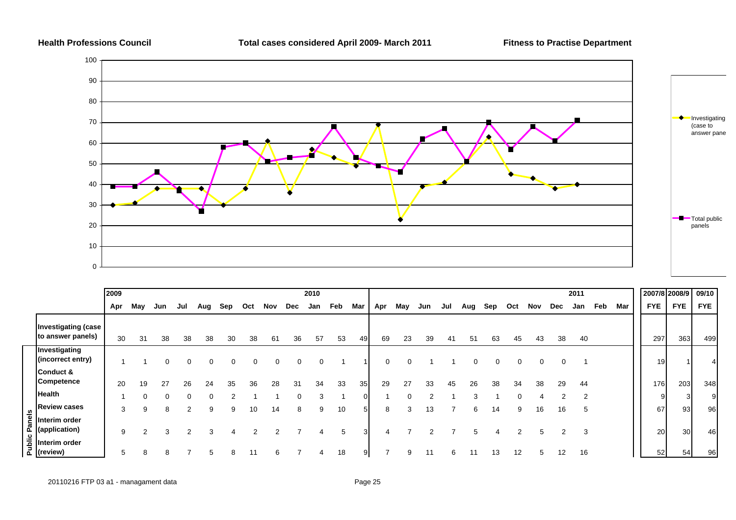

|            |                                                 | 2009 |     |     |     |     |     |     |     |            | 2010 |     |                |     |     |     |     |     |     |     |     |     | 2011 |     |     |            | 2007/8 2008/9         | 09/10      |
|------------|-------------------------------------------------|------|-----|-----|-----|-----|-----|-----|-----|------------|------|-----|----------------|-----|-----|-----|-----|-----|-----|-----|-----|-----|------|-----|-----|------------|-----------------------|------------|
|            |                                                 | Apr  | May | Jun | Jul | Aug | Sep | Oct | Nov | <b>Dec</b> | Jan  | Feb | Mar            | Apr | May | Jun | Jul | Aug | Sep | Oct | Nov | Dec | Jan  | Feb | Mar | <b>FYE</b> | <b>FYE</b>            | <b>FYE</b> |
|            | <b>Investigating (case</b><br>to answer panels) | 30   | 31  | 38  | 38  | 38  | 30  | 38  | 61  | 36         | 57   | 53  | 49             | 69  | 23  | 39  | 41  | 51  | 63  | 45  | 43  | 38  | 40   |     |     | 297        | 363                   | 499        |
|            | Investigating<br>(incorrect entry)              |      |     |     |     |     |     |     | 0   | 0          |      |     |                | 0   |     |     |     |     |     |     |     |     |      |     |     |            | 19                    |            |
|            | Conduct &<br><b>Competence</b>                  | 20   | 19  | 27  | 26  | 24  | 35  | 36  | 28  | 3'         | 34   | 33  | 35             | 29  | 27  | 33  | 45  | 26  | 38  | 34  | 38  | 29  | 44   |     |     | 176        | 203                   | 348        |
|            | <b>Health</b>                                   |      |     |     |     |     |     |     |     | 0          | 3    |     | $\overline{0}$ |     |     | າ   |     | 3   |     |     |     | 2   | 2    |     |     |            | 9                     | 9          |
|            | <b>Review cases</b>                             | 3    | 9   | 8   |     | 9   | 9   | 10  | 14  | 8          | 9    | 10  | 5              | 8   | 3   | 13  |     | 6   | 14  | 9   | 16  | 16  | ა    |     |     |            | 93<br>67              | 96         |
| els<br>Pan | Interim order<br>(application)                  | 9    | ⌒   |     |     |     |     |     |     |            | 4    | 5   | 3              |     |     |     |     | 5   |     |     |     |     | 3    |     |     |            | 30<br>20 <sub>l</sub> | 46         |
| Public     | Interim order<br>(review)                       | 5    |     |     |     |     |     |     | 6   |            |      | 18  | 9              |     | 9   |     | 6   |     |     | 12  |     | 12  | 16   |     |     |            | 52<br>54              | 96         |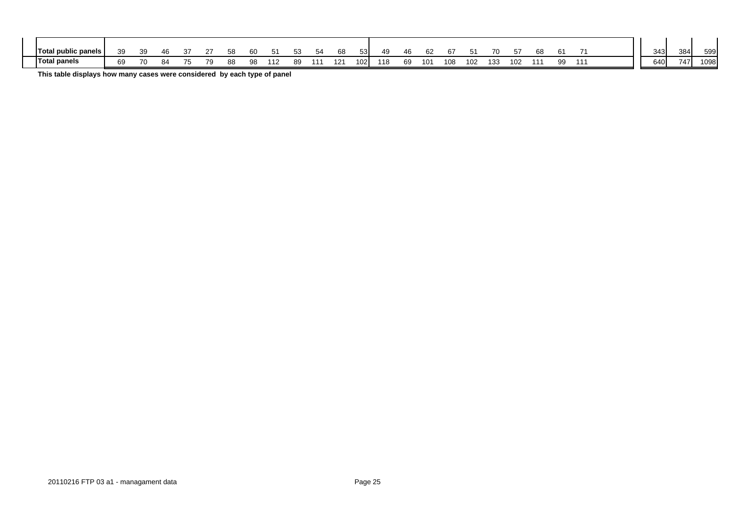| Total<br>public panels ! | ٩a<br>ັບ | .39 |                |                                             |    | 58 | 60 | Ð.  | $ \sim$<br>53 | 68  | 53. | 49  | 46 | n.  |     |     | 70  |     | $\sim$   | - | 343         | 384 | 599  |
|--------------------------|----------|-----|----------------|---------------------------------------------|----|----|----|-----|---------------|-----|-----|-----|----|-----|-----|-----|-----|-----|----------|---|-------------|-----|------|
| Total panels             | 69       | 70  | O <sub>A</sub> | --<br>$\overline{\phantom{a}}$<br>$\cdot$ . | 7Q | 88 | 98 | ٬12 | 89            | 121 | 102 | 118 | 69 | 101 | 108 | 102 | 133 | 102 | aa<br>ັບ |   | 2401<br>ບ+ບ | 747 | 1098 |

**This table displays how many cases were considered by each type of panel**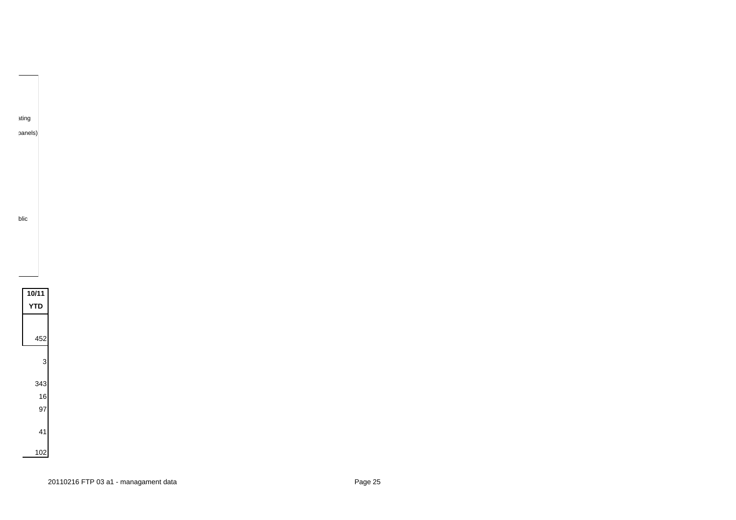

ating panels)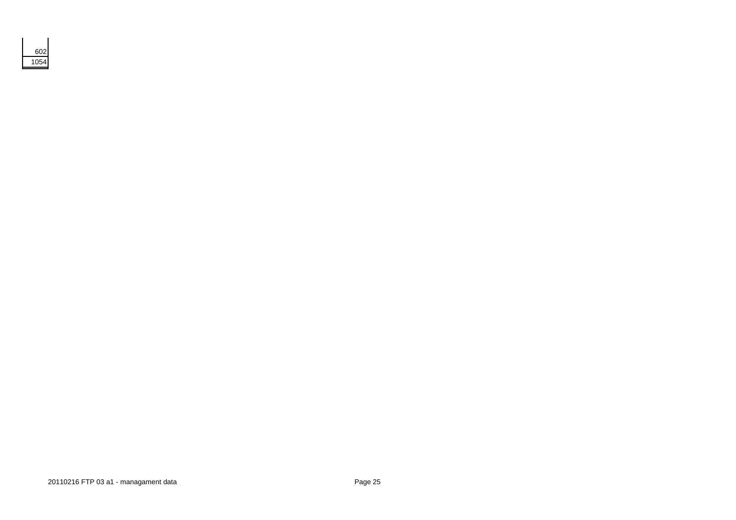| 2<br>F |
|--------|
| 5      |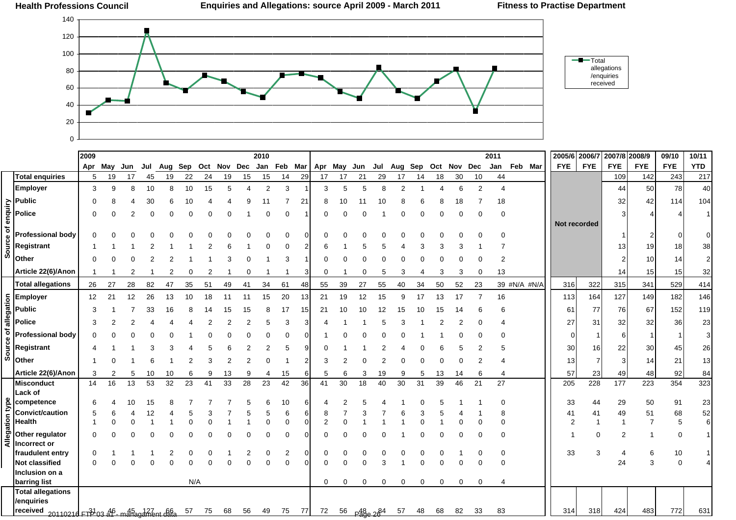

|                 |                                                                                                | 2009                 |     |     |     |     |     |     |     |     | 2010           |               |                |                |     |                             |     |                |     |             |    |                | 2011                 |              | 2005/6 2006/7  |              | 2007/8 2008/9  |                  | 09/10      | 10/11          |
|-----------------|------------------------------------------------------------------------------------------------|----------------------|-----|-----|-----|-----|-----|-----|-----|-----|----------------|---------------|----------------|----------------|-----|-----------------------------|-----|----------------|-----|-------------|----|----------------|----------------------|--------------|----------------|--------------|----------------|------------------|------------|----------------|
|                 |                                                                                                | Apr                  | May | Jun | Jul | Aug | Sep | Oct | Nov | Dec | Jan            | Feb Mar       |                | Apr            | May | Jun                         | Jul | Aug            | Sep | Oct Nov Dec |    |                | Jan                  | Feb Mar      | <b>FYE</b>     | <b>FYE</b>   | <b>FYE</b>     | <b>FYE</b>       | <b>FYE</b> | <b>YTD</b>     |
|                 | <b>Total enquiries</b>                                                                         | 5                    | 19  | 17  | 45  | 19  | 22  | 24  | 19  | 15  | 15             | 14            | 29             | 17             | 17  | 21                          | 29  | 17             | 14  | 18          | 30 | 10             | 44                   |              |                |              | 109            | 142              | 243        | 217            |
|                 | <b>Employer</b>                                                                                | 3                    | 9   | 8   | 10  | 8   | 10  | 15  | 5   | 4   | $\overline{2}$ | 3             |                | 3              | 5   | 5                           | 8   | $\overline{2}$ |     |             | 6  | $\overline{2}$ | $\overline{4}$       |              |                |              | 44             | 50               | 78         | 40             |
|                 |                                                                                                |                      |     |     |     |     |     |     |     |     |                |               | $\overline{2}$ |                |     |                             |     |                |     |             |    |                |                      |              |                |              |                |                  |            |                |
|                 |                                                                                                |                      |     |     |     |     |     |     |     |     |                |               |                |                |     |                             |     |                |     |             |    |                | 18                   |              |                |              | 32             | 42               | 114        | 104            |
|                 | Public<br>Police<br>Composition<br>Profes<br>Regist<br>Other                                   |                      |     |     |     |     |     |     |     |     |                | $\Omega$      |                |                |     |                             |     |                |     |             |    | Ω              | $\Omega$             |              |                |              | 3              |                  |            | 1              |
|                 |                                                                                                |                      |     |     |     |     |     |     |     |     |                |               |                |                |     |                             |     |                |     |             |    |                |                      |              |                | Not recorded |                |                  |            |                |
|                 | <b>Professional body</b>                                                                       |                      |     |     |     |     |     |     |     |     |                | 0             | 0              | 0              |     |                             |     |                |     |             |    |                | <sup>0</sup>         |              |                |              |                |                  |            |                |
|                 | <b>Registrant</b>                                                                              |                      |     |     |     |     |     |     |     |     | 0              | 0             |                | 6              |     |                             |     |                |     |             |    |                |                      |              |                |              | 13             | 19               | 18         | 38             |
|                 | Other                                                                                          |                      |     |     |     |     |     |     |     |     |                | 3             |                |                |     |                             |     |                |     |             |    |                | $\overline{2}$       |              |                |              | 2              | 10 <sup>1</sup>  | 14         | $\overline{2}$ |
|                 | Article 22(6)/Anon                                                                             | -1                   |     | 2   |     |     |     |     |     |     |                |               | 3              | $\Omega$       |     | 0                           | 5   | 3              |     | 3           | 3  | 0              | 13                   |              |                |              | 14             | 15               | 15         | 32             |
|                 | <b>Total allegations</b>                                                                       | 26                   | 27  | 28  | 82  | 47  | 35  | 51  | 49  | 41  | 34             | 61            | 48             | 55             | 39  | 27                          | 55  | 40             | 34  | 50          | 52 | 23             |                      | 39 #N/A #N/A | 316            | 322          | 315            | 341              | 529        | 414            |
|                 |                                                                                                | 12                   | 21  | 12  | 26  | 13  | 10  | 18  | 11  | 11  | 15             | 20            | 13             | 21             | 19  | 12                          | 15  | 9              | 17  | 13          | 17 | 7              | 16                   |              | 113            | 164          | 127            | 149              | 182        | 146            |
|                 | $rac{1}{\frac{1}{2}} \frac{1}{\frac{1}{2}}$ Employer<br>Public<br>$rac{1}{\frac{1}{2}}$ Police | 3                    |     |     | 33  | 16  |     |     |     |     |                | 17            | 15             | 21             |     | 10                          | 12  | 15             |     |             |    |                |                      |              | 61             | 77           | 76             | 67               | 152        | 119            |
|                 |                                                                                                | 3                    |     |     |     |     |     |     |     |     | 5              | 3             | З              |                |     |                             |     |                |     |             |    |                |                      |              | 27             | 31           | 32             | 32               | 36         | 23             |
| đ               | <b>Professional body</b>                                                                       |                      |     |     |     |     |     |     |     |     |                |               |                |                |     |                             |     |                |     |             |    |                | O                    |              | $\Omega$       |              | 6              | 1                |            | 3              |
| Source          | Registrant                                                                                     |                      |     |     |     |     |     |     |     |     | 2              | 5             | 9              |                |     |                             |     |                |     |             |    |                | 5                    |              | 30             | 16           | 22             | 30               | 45         | 26             |
|                 | Other                                                                                          |                      |     |     |     |     |     |     |     | 2   |                |               |                | 3              |     |                             |     |                |     |             |    |                |                      |              | 13             |              | 3              | 14               | 21         | 13             |
|                 | Article 22(6)/Anon                                                                             | 3                    |     | 5   | 10  | 10  | 6   | 9   | 13  | 9   | 4              | 15            | 6              | 5              | 6   | 3                           | 19  | 9              | 5   | 13          | 14 | 6              | 4                    |              | 57             | 23           | 49             | 48               | 92         | 84             |
|                 | <b>Misconduct</b>                                                                              | 14                   | 16  | 13  | 53  | 32  | 23  | 41  | 33  | 28  | 23             | 42            | 36             | 41             | 30  | 18                          | 40  | 30             | 31  | 39          | 46 | 21             | 27                   |              | 205            | 228          | 177            | 223              | 354        | 323            |
|                 | <b>Lack of</b>                                                                                 |                      |     |     |     |     |     |     |     |     |                |               |                |                |     |                             |     |                |     |             |    |                |                      |              |                |              |                |                  |            |                |
|                 | competence                                                                                     |                      |     |     |     |     |     |     |     |     |                | 10            | 6              |                |     |                             |     |                |     |             |    |                | $\Omega$             |              | 33             | 44           | 29             | 50               | 91         | 23             |
|                 | <b>Convict/caution</b>                                                                         | 5                    | 6   |     |     |     |     |     |     |     | 5              | 6             | 6              | 8              |     |                             |     |                |     |             |    |                | 8                    |              | 41             | 41           | 49             | 51               | 68         | 52             |
|                 | <b>Health</b>                                                                                  |                      | 0   | 0   |     |     |     |     |     |     | 0              | 0             | $\overline{0}$ | $\overline{2}$ |     |                             |     |                |     |             |    | 0              | $\Omega$             |              | $\overline{2}$ |              |                | $\overline{7}$   | 5          | 6              |
| Allegation type | Other regulator                                                                                |                      |     |     |     |     |     |     |     |     |                | 0             |                |                |     |                             |     |                |     |             |    | U              | 0                    |              |                | 0            | $\overline{2}$ | -1               | 0          | -1             |
|                 | Incorrect or                                                                                   |                      |     |     |     |     |     |     |     |     |                |               |                |                |     |                             |     |                |     |             |    |                |                      |              |                |              |                |                  |            |                |
|                 | fraudulent entry<br><b>Not classified</b>                                                      | $\Omega$<br>$\Omega$ |     |     |     |     |     |     |     |     | 0              | 2<br>$\Omega$ | 0<br>$\Omega$  | 0              | 0   | 0<br>$\Omega$               | Э   |                |     |             |    | 0              | $\Omega$<br>$\Omega$ |              | 33             | 3            | 4<br>24        | 6<br>$\mathsf 3$ | 10<br>0    | 4              |
|                 | Inclusion on a                                                                                 |                      |     |     |     |     |     |     |     |     |                |               |                |                |     |                             |     |                |     |             |    |                |                      |              |                |              |                |                  |            |                |
|                 | barring list                                                                                   |                      |     |     |     |     | N/A |     |     |     |                |               |                | 0              | 0   | 0                           | 0   | 0              | 0   | 0           | 0  | 0              | 4                    |              |                |              |                |                  |            |                |
|                 | <b>Total allegations</b>                                                                       |                      |     |     |     |     |     |     |     |     |                |               |                |                |     |                             |     |                |     |             |    |                |                      |              |                |              |                |                  |            |                |
|                 | /enquiries                                                                                     |                      |     |     |     |     |     |     |     |     |                |               |                |                |     |                             |     |                |     |             |    |                |                      |              |                |              |                |                  |            |                |
|                 | received 2011021d FTP 03 ap- managament data                                                   |                      |     |     |     |     | 57  | 75  | 68  | 56  | 49             | 75            | 77             | 72             |     | $56$ $P_{48}^{48}$ $28^{4}$ |     | 57             | 48  | 68          | 82 | 33             | 83                   |              | 314            | 318          | 424            | 483              | 772        | 631            |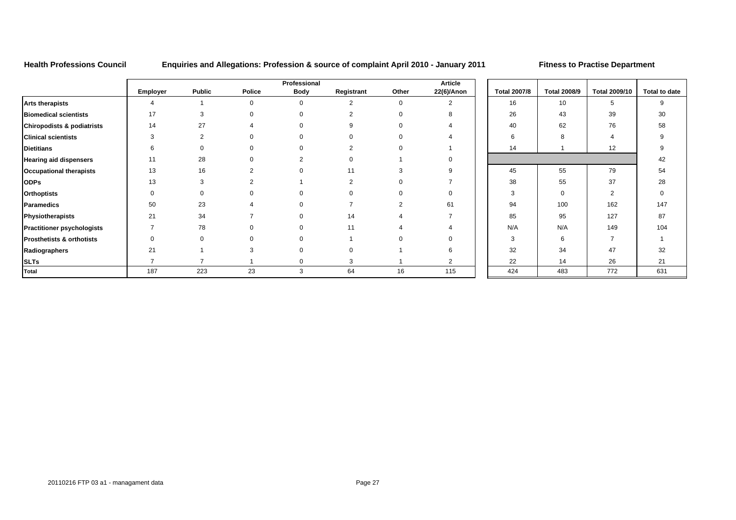**Health Professions Council Enquiries and Allegations: Profession & source of complaint April 2010 - January 2011 Fitness to Practise Department**

|                                       |          |               |        | Professional |            |       | <b>Article</b> |                     |                     |                      |                 |
|---------------------------------------|----------|---------------|--------|--------------|------------|-------|----------------|---------------------|---------------------|----------------------|-----------------|
|                                       | Employer | <b>Public</b> | Police | <b>Body</b>  | Registrant | Other | 22(6)/Anon     | <b>Total 2007/8</b> | <b>Total 2008/9</b> | <b>Total 2009/10</b> | <b>Total to</b> |
| <b>Arts therapists</b>                |          |               |        |              | 2          |       | 2              | 16                  | 10                  | 5                    | 9               |
| <b>Biomedical scientists</b>          | 17       | 3             |        |              |            |       |                | 26                  | 43                  | 39                   | 30              |
| <b>Chiropodists &amp; podiatrists</b> | 14       | 27            |        |              |            |       |                | 40                  | 62                  | 76                   | 58              |
| <b>Clinical scientists</b>            | 3        | 2             |        |              |            |       |                | 6                   | 8                   |                      | 9               |
| <b>Dietitians</b>                     |          |               |        |              |            |       |                | 14                  |                     | 12                   |                 |
| <b>Hearing aid dispensers</b>         | 11       | 28            |        | ◠            |            |       |                |                     |                     |                      | 42              |
| <b>Occupational therapists</b>        | 13       | 16            |        |              | 11         |       |                | 45                  | 55                  | 79                   | 54              |
| <b>ODPs</b>                           | 13       | з             |        |              |            |       |                | 38                  | 55                  | 37                   | 28              |
| <b>Orthoptists</b>                    |          |               |        |              |            |       |                | 3                   | $\Omega$            | 2                    | $\Omega$        |
| <b>Paramedics</b>                     | 50       | 23            |        |              |            |       | 61             | 94                  | 100                 | 162                  | 147             |
| Physiotherapists                      | 21       | 34            |        |              | 14         |       |                | 85                  | 95                  | 127                  | 87              |
| <b>Practitioner psychologists</b>     |          | 78            |        |              | 11         |       |                | N/A                 | N/A                 | 149                  | 104             |
| <b>Prosthetists &amp; orthotists</b>  |          |               |        |              |            |       |                | З                   | 6                   |                      |                 |
| Radiographers                         | 21       |               |        |              |            |       |                | 32                  | 34                  | 47                   | 32              |
| <b>SLTs</b>                           |          |               |        |              | 3          |       | 2              | 22                  | 14                  | 26                   | 21              |
| <b>Total</b>                          | 187      | 223           | 23     | 3            | 64         | 16    | 115            | 424                 | 483                 | 772                  | 631             |

| <b>Article</b><br>22(6)/Anon | <b>Total 2007/8</b> | <b>Total 2008/9</b> | <b>Total 2009/10</b> | Total to date |
|------------------------------|---------------------|---------------------|----------------------|---------------|
| $\overline{2}$               | 16                  | 10                  | 5                    | 9             |
| 8                            | 26                  | 43                  | 39                   | 30            |
| $\overline{4}$               | 40                  | 62                  | 76                   | 58            |
| $\overline{4}$               | 6                   | 8                   | $\overline{4}$       | 9             |
| 1                            | 14                  | 1                   | 12                   | 9             |
| $\mathbf 0$                  |                     |                     |                      | 42            |
| 9                            | 45                  | 55                  | 79                   | 54            |
| $\overline{7}$               | 38                  | 55                  | 37                   | 28            |
| $\mathbf 0$                  | 3                   | $\mathbf 0$         | $\overline{2}$       | $\mathbf 0$   |
| 61                           | 94                  | 100                 | 162                  | 147           |
| $\overline{7}$               | 85                  | 95                  | 127                  | 87            |
| $\overline{4}$               | N/A                 | N/A                 | 149                  | 104           |
| $\mathbf 0$                  | 3                   | 6                   | $\overline{7}$       | $\mathbf{1}$  |
| 6                            | 32                  | 34                  | 47                   | 32            |
| $\overline{2}$               | 22                  | 14                  | 26                   | 21            |
| 115                          | 424                 | 483                 | 772                  | 631           |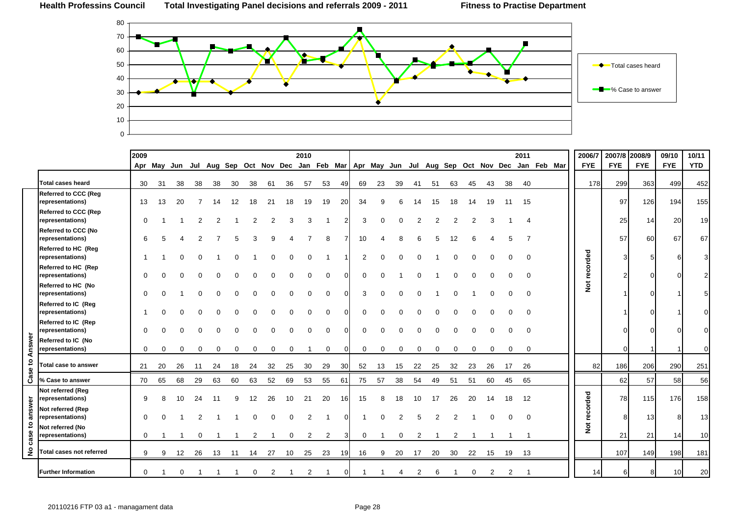

|                |                                                 | 2009         |    |          |          |             |             |                |               |    | 2010 |                |                |                |              |    |    |    |    |    |                |                | 2011        |                                                                                                   | 2006/7        | 2007/8 2008/9 |            | 09/10           | 10/11      |
|----------------|-------------------------------------------------|--------------|----|----------|----------|-------------|-------------|----------------|---------------|----|------|----------------|----------------|----------------|--------------|----|----|----|----|----|----------------|----------------|-------------|---------------------------------------------------------------------------------------------------|---------------|---------------|------------|-----------------|------------|
|                |                                                 |              |    |          |          |             |             |                |               |    |      |                |                |                |              |    |    |    |    |    |                |                |             | Apr May Jun Jul Aug Sep Oct Nov Dec Jan Feb Mar   Apr May Jun Jul Aug Sep Oct Nov Dec Jan Feb Mar | <b>FYE</b>    | <b>FYE</b>    | <b>FYE</b> | <b>FYE</b>      | <b>YTD</b> |
|                | <b>Total cases heard</b>                        | 30           | 31 | 38       | 38       | 38          | 30          | 38             | 61            | 36 | 57   | 53             | 49             | 69             | 23           | 39 | 41 | 51 | 63 | 45 | 43             | 38             | 40          |                                                                                                   | 178           | 299           | 363        | 499             | 452        |
|                | <b>Referred to CCC (Reg</b><br>representations) | 13           | 13 | 20       | -7       | 14          | 12          | 18             | 21            | 18 | 19   | 19             | 20             | 34             | 9            | 6  | 14 | 15 | 18 | 14 | 19             | 11             | 15          |                                                                                                   |               | 97            | 126        | 194             | 155        |
|                | <b>Referred to CCC (Rep</b><br>representations) | 0            |    |          |          |             |             |                |               |    | 3    |                | $\overline{2}$ | 3              |              |    |    |    |    |    |                |                |             |                                                                                                   |               | 25            | 14         | 20              | 19         |
|                | Referred to CCC (No<br>representations)         | 6            |    |          |          |             |             |                |               |    |      | 8              |                | 10             |              | 8  | 6  |    | 12 |    |                | 5              |             |                                                                                                   |               | 57            | 60         | 67              | 67         |
|                | Referred to HC (Reg<br>representations)         |              |    |          |          |             |             |                |               |    |      |                |                | $\overline{2}$ | <sup>0</sup> |    |    |    |    |    |                |                | $\Omega$    |                                                                                                   |               | 3             |            |                 | 3          |
|                | Referred to HC (Rep<br>representations)         | 0            |    |          |          |             |             |                |               |    |      | $\Omega$       | $\Omega$       | $\Omega$       | ∩            |    |    |    |    |    |                |                | $\Omega$    |                                                                                                   | recorded      | 2             |            |                 |            |
|                | Referred to HC (No<br>representations)          | 0            |    |          |          |             |             |                |               |    |      | $\Omega$       | $\overline{0}$ | 3              | $\Omega$     |    |    |    |    |    |                |                | $\Omega$    |                                                                                                   | $\frac{5}{2}$ |               |            |                 |            |
|                | Referred to IC (Reg<br>representations)         |              |    |          |          |             |             |                |               |    |      | $\Omega$       | $\mathbf{0}$   | $\Omega$       |              |    |    |    |    |    |                |                |             |                                                                                                   |               |               |            |                 |            |
|                | Referred to IC (Rep<br>representations)         | 0            |    |          |          |             |             |                |               |    |      | $\Omega$       | $\Omega$       | $\Omega$       |              |    |    |    |    |    |                |                |             |                                                                                                   |               |               |            |                 |            |
| Case to Answer | Referred to IC (No<br>representations)          | $\mathbf{0}$ | 0  | 0        | $\Omega$ | $\mathbf 0$ | $\mathbf 0$ | $\mathbf 0$    | 0             | 0  |      | $\mathbf 0$    | $\overline{0}$ | $\mathbf 0$    | 0            | 0  | 0  | 0  | 0  | 0  | 0              | 0              | $\mathbf 0$ |                                                                                                   |               | 01            |            |                 |            |
|                | <b>Total case to answer</b>                     | 21           | 20 | 26       | 11       | 24          | 18          | 24             | 32            | 25 | 30   | 29             | 30             | 52             | 13           | 15 | 22 | 25 | 32 | 23 | 26             | 17             | 26          |                                                                                                   | 82            | 186           | 206        | 290             | 251        |
|                | % Case to answer                                | 70           | 65 | 68       | 29       | 63          | 60          | 63             | 52            | 69 | 53   | 55             | 61             | 75             | 57           | 38 | 54 | 49 | 51 | 51 | 60             | 45             | 65          |                                                                                                   |               | 62            | 57         | 58              | 56         |
|                | Not referred (Reg<br>representations)           | 9            |    | 10       | 24       | 11          | 9           | 12             | 26            | 10 | 21   | 20             | 16             | 15             | 8            | 18 | 10 | 17 | 26 | 20 | 14             | 18             | 12          |                                                                                                   |               | 78            | 115        | 176             | 158        |
| answer         | Not referred (Rep<br>representations)           | 0            |    |          |          |             |             |                |               |    | 2    |                | $\Omega$       |                |              |    |    |    |    |    |                |                |             |                                                                                                   | recorded      | 8             | 13         |                 | 13         |
| case to        | Not referred (No<br>representations)            | $\mathbf{0}$ |    |          | 0        |             |             | $\overline{2}$ |               | 0  | 2    | $\overline{2}$ | <sup>3</sup>   | $\mathbf 0$    | -1           | 0  | 2  |    | 2  |    |                |                |             |                                                                                                   | ă             | 21            | 21         | 14              | 10         |
| $\frac{1}{2}$  | <b>Total cases not referred</b>                 | 9            | 9  | 12       | 26       | 13          | 11          | 14             | 27            | 10 | 25   | 23             | 19             | 16             | 9            | 20 | 17 | 20 | 30 | 22 | 15             | 19             | 13          |                                                                                                   |               | 107           | 149        | 198             | 181        |
|                | <b>Further Information</b>                      | $\Omega$     |    | $\Omega$ |          |             |             | $\Omega$       | $\mathcal{P}$ |    | 2    |                | $\overline{0}$ |                |              | Δ  | 2  | 6  |    | 0  | $\overline{2}$ | $\overline{2}$ |             |                                                                                                   | 14            | 6             | 8          | 10 <sup>1</sup> | 20         |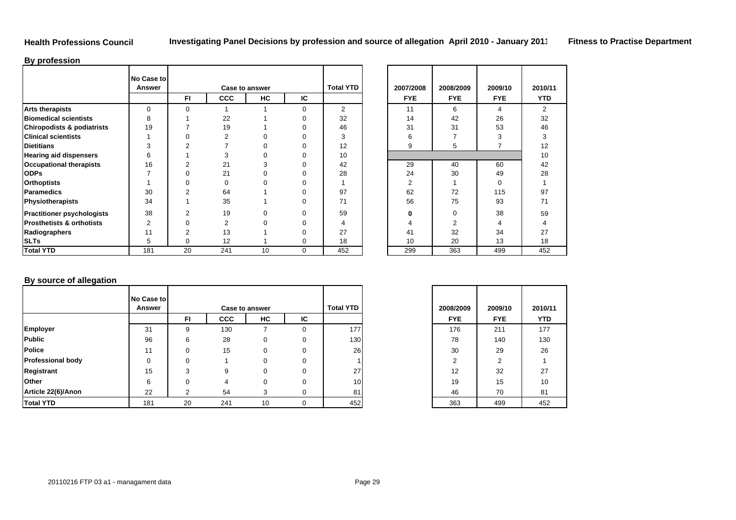## **Health Professions Council**

## **By profession**

|                                       | No Case to<br><b>Answer</b> |                |            | <b>Case to answer</b> |          | <b>Total YTD</b> | 2007/2008  | 2008/2009  | 2009/10    | 2010/          |
|---------------------------------------|-----------------------------|----------------|------------|-----------------------|----------|------------------|------------|------------|------------|----------------|
|                                       |                             | FI.            | <b>CCC</b> | HC                    | IC       |                  | <b>FYE</b> | <b>FYE</b> | <b>FYE</b> | <b>YTD</b>     |
| <b>Arts therapists</b>                | $\Omega$                    | $\Omega$       |            |                       | $\Omega$ | $\overline{2}$   | 11         | 6          | 4          | $\overline{2}$ |
| <b>Biomedical scientists</b>          | 8                           |                | 22         |                       | ი        | 32               | 14         | 42         | 26         | 32             |
| <b>Chiropodists &amp; podiatrists</b> | 19                          |                | 19         |                       |          | 46               | 31         | 31         | 53         | 46             |
| <b>Clinical scientists</b>            |                             |                |            |                       |          | 3                | հ          |            |            | 3              |
| <b>Dietitians</b>                     | 3                           |                |            |                       |          | 12               | 9          | 5          |            | 12             |
| <b>Hearing aid dispensers</b>         | 6                           |                | 3          |                       |          | 10               |            |            |            | 10             |
| <b>Occupational therapists</b>        | 16                          |                | 21         |                       |          | 42               | 29         | 40         | 60         | 42             |
| <b>ODPs</b>                           |                             |                | 21         |                       |          | 28               | 24         | 30         | 49         | 28             |
| <b>Orthoptists</b>                    |                             |                | 0          |                       |          |                  | 2          |            | 0          |                |
| Paramedics                            | 30                          |                | 64         |                       |          | 97               | 62         | 72         | 115        | 97             |
| Physiotherapists                      | 34                          |                | 35         |                       | 0        | 71               | 56         | 75         | 93         | 71             |
| <b>Practitioner psychologists</b>     | 38                          | $\mathfrak{p}$ | 19         | $\Omega$              | n        | 59               |            | $\Omega$   | 38         | 59             |
| <b>Prosthetists &amp; orthotists</b>  | 2                           |                | 2          |                       |          | 4                |            |            |            |                |
| Radiographers                         | 11                          | 2              | 13         |                       | n        | 27               | 41         | 32         | 34         | 27             |
| <b>SLTs</b>                           | 5                           | 0              | 12         |                       | 0        | 18               | 10         | 20         | 13         | 18             |
| <b>Total YTD</b>                      | 181                         | 20             | 241        | 10                    | $\Omega$ | 452              | 299        | 363        | 499        | 452            |

| D | 2007/2008<br><b>FYE</b> | 2008/2009<br><b>FYE</b> | 2009/10<br><b>FYE</b> | 2010/11<br><b>YTD</b> |
|---|-------------------------|-------------------------|-----------------------|-----------------------|
|   | 11                      | 6                       | 4                     | $\overline{2}$        |
|   | 14                      | 42                      | 26                    | 32                    |
|   | 31                      | 31                      | 53                    | 46                    |
|   | 6                       | $\overline{7}$          | 3                     | 3                     |
|   | 9                       | 5                       | $\overline{7}$        | 12                    |
|   |                         |                         |                       | 10                    |
|   | 29                      | 40                      | 60                    | 42                    |
|   | 24                      | 30                      | 49                    | 28                    |
|   | 2                       | 1                       | 0                     | 1                     |
|   | 62                      | 72                      | 115                   | 97                    |
|   | 56                      | 75                      | 93                    | 71                    |
|   | $\bf{0}$                | 0                       | 38                    | 59                    |
|   | $\overline{4}$          | $\overline{2}$          | $\overline{4}$        | 4                     |
|   | 41                      | 32                      | 34                    | 27                    |
|   | 10                      | 20                      | 13                    | 18                    |
|   | 299                     | 363                     | 499                   | 452                   |

## **By source of allegation**

|                          | No Case to |           |            |                |          |                  |            |            |            |
|--------------------------|------------|-----------|------------|----------------|----------|------------------|------------|------------|------------|
|                          | Answer     |           |            | Case to answer |          | <b>Total YTD</b> | 2008/2009  | 2009/10    | 2010/      |
|                          |            | <b>FI</b> | <b>CCC</b> | HС             | IC       |                  | <b>FYE</b> | <b>FYE</b> | <b>YTD</b> |
| Employer                 | 31         | 9         | 130        |                | 0        | <b>177</b>       | 176        | 211        | 177        |
| Public                   | 96         | 6         | 28         | 0              | 0        | 130 <sup>1</sup> | 78         | 140        | 130        |
| <b>Police</b>            | 11         | $\Omega$  | 15         | 0              | 0        | 26               | 30         | 29         | 26         |
| <b>Professional body</b> | $\Omega$   |           |            |                |          |                  |            | 2          |            |
| Registrant               | 15         |           | 9          |                |          | 27               | 12         | 32         | 27         |
| Other                    | 6          | $\Omega$  | 4          |                | 0        | 10 <sup>1</sup>  | 19         | 15         | 10         |
| Article 22(6)/Anon       | 22         | $\sim$    | 54         | 3              | 0        | 81               | 46         | 70         | 81         |
| <b>Total YTD</b>         | 181        | 20        | 241        | 10             | $\Omega$ | 452              | 363        | 499        | 452        |

| D               | 2008/2009  | 2009/10    | 2010/11    |
|-----------------|------------|------------|------------|
|                 | <b>FYE</b> | <b>FYE</b> | <b>YTD</b> |
| $\overline{77}$ | 176        | 211        | 177        |
| 30              | 78         | 140        | 130        |
| 26              | 30         | 29         | 26         |
|                 | 2          | 2          |            |
| 27              | 12         | 32         | 27         |
| 10              | 19         | 15         | 10         |
| 81              | 46         | 70         | 81         |
| 52              | 363        | 499        | 452        |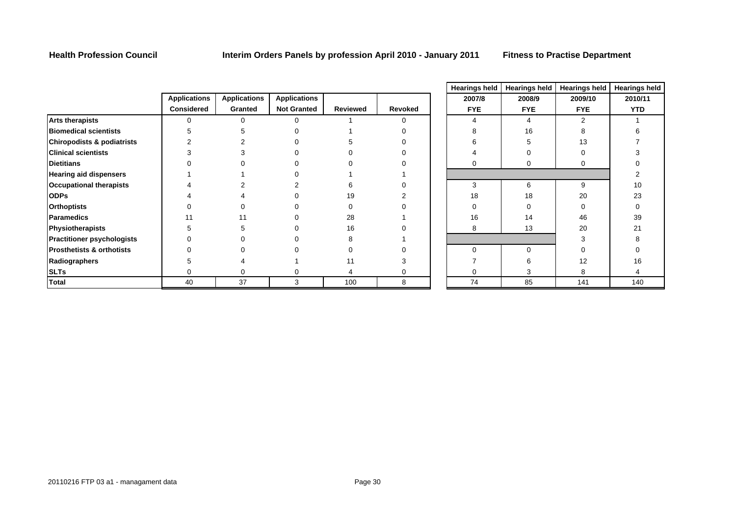**Health Profession Council Interim Orders Panels by profession April 2010 - January 2011 Fitness to Practise Department**

|                                       |                     |                     |                     |          |         | nearings neiu | Fitchings field | <b>Tiearings neiu</b> | пеаннуэ г  |
|---------------------------------------|---------------------|---------------------|---------------------|----------|---------|---------------|-----------------|-----------------------|------------|
|                                       | <b>Applications</b> | <b>Applications</b> | <b>Applications</b> |          |         | 2007/8        | 2008/9          | 2009/10               | 2010/11    |
|                                       | <b>Considered</b>   | Granted             | <b>Not Granted</b>  | Reviewed | Revoked | <b>FYE</b>    | <b>FYE</b>      | <b>FYE</b>            | <b>YTD</b> |
| <b>Arts therapists</b>                |                     |                     |                     |          |         |               |                 |                       |            |
| <b>Biomedical scientists</b>          |                     |                     |                     |          |         |               | 16              |                       |            |
| <b>Chiropodists &amp; podiatrists</b> |                     |                     |                     |          |         |               |                 | 13                    |            |
| <b>Clinical scientists</b>            |                     |                     |                     |          |         |               |                 |                       |            |
| <b>Dietitians</b>                     |                     |                     |                     |          |         |               | 0               |                       |            |
| <b>Hearing aid dispensers</b>         |                     |                     |                     |          |         |               |                 |                       |            |
| <b>Occupational therapists</b>        |                     |                     |                     |          |         | 3             | 6               | 9                     | 10         |
| <b>ODPs</b>                           |                     |                     |                     | 19       |         | 18            | 18              | 20                    | 23         |
| <b>Orthoptists</b>                    |                     |                     |                     |          |         |               |                 |                       |            |
| Paramedics                            |                     |                     |                     | 28       |         | 16            | 14              | 46                    | 39         |
| Physiotherapists                      |                     |                     |                     | 16       |         | 8             | 13              | 20                    | 21         |
| <b>Practitioner psychologists</b>     |                     |                     |                     |          |         |               |                 |                       |            |
| <b>Prosthetists &amp; orthotists</b>  |                     |                     |                     |          |         |               | $\Omega$        |                       |            |
| Radiographers                         |                     |                     |                     |          |         |               |                 | 12                    | 16         |
| <b>SLTs</b>                           |                     |                     |                     |          |         |               |                 |                       |            |
| <b>Total</b>                          | 40                  | 37                  | 3                   | 100      | 8       | 74            | 85              | 141                   | 140        |

|   | <b>Hearings held</b> | <b>Hearings held</b> | <b>Hearings held</b> | <b>Hearings held</b> |
|---|----------------------|----------------------|----------------------|----------------------|
|   | 2007/8               | 2008/9               | 2009/10              | 2010/11              |
| d | <b>FYE</b>           | <b>FYE</b>           | <b>FYE</b>           | <b>YTD</b>           |
|   | 4                    | 4                    | 2                    | 1                    |
|   | 8                    | 16                   | 8                    | 6                    |
|   | 6                    | 5                    | 13                   | $\overline{7}$       |
|   | 4                    | 0                    | $\mathbf 0$          | 3                    |
|   | 0                    | 0                    | $\mathbf 0$          | 0                    |
|   |                      |                      |                      | 2                    |
|   | 3                    | 6                    | 9                    | 10                   |
|   | 18                   | 18                   | 20                   | 23                   |
|   | 0                    | 0                    | $\mathbf 0$          | 0                    |
|   | 16                   | 14                   | 46                   | 39                   |
|   | 8                    | 13                   | 20                   | 21                   |
|   |                      |                      | 3                    | 8                    |
|   | 0                    | 0                    | $\mathbf 0$          | 0                    |
|   | 7                    | 6                    | 12                   | 16                   |
|   | 0                    | 3                    | 8                    | 4                    |
|   | 74                   | 85                   | 141                  | 140                  |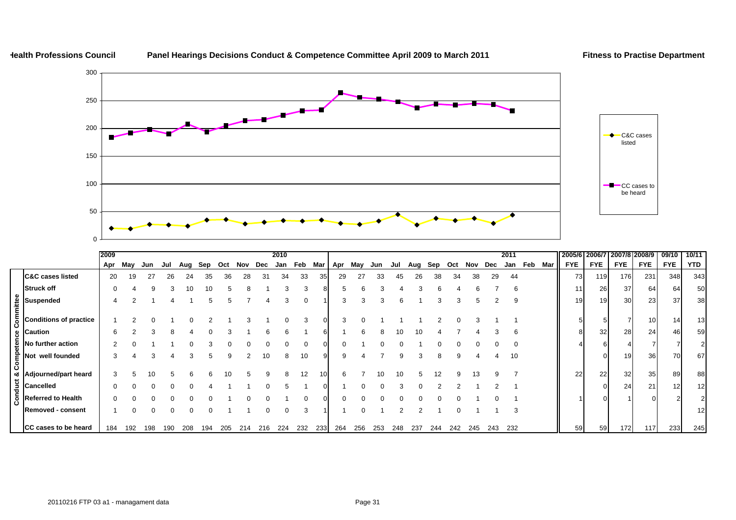

|                                                                                                                                                                                                                                                       | 2009 |         |     |     |     |     |     |         |     | 2010 |     |     |           |     |     |     |     |     |     |     |     | 2011 |     |     | 2005/6 2006/7 |            | 2007/8 2008/9 |            | 09/10           | 10/11      |
|-------------------------------------------------------------------------------------------------------------------------------------------------------------------------------------------------------------------------------------------------------|------|---------|-----|-----|-----|-----|-----|---------|-----|------|-----|-----|-----------|-----|-----|-----|-----|-----|-----|-----|-----|------|-----|-----|---------------|------------|---------------|------------|-----------------|------------|
|                                                                                                                                                                                                                                                       |      | Apr May | Jun | Jul | Aug | Sep | Oct | Nov Dec |     | Jan  | Feb |     | Mar   Apr | May | Jun | Jul | Aug | Sep | Oct | Nov | Dec | Jan  | Feb | Mar | <b>FYE</b>    | <b>FYE</b> | <b>FYE</b>    | <b>FYE</b> | <b>FYE</b>      | <b>YTD</b> |
| <b>C&amp;C cases listed</b>                                                                                                                                                                                                                           | 20   | 19      | 27  | 26  | 24  | 35  | 36  | 28      | 31  | 34   | 33  | 35  | 29        | 27  | 33  | 45  | 26  | 38  | 34  | 38  | 29  | 44   |     |     | 73            | 119        | 176           | 231        | 348             | 343        |
| <b>Struck off</b>                                                                                                                                                                                                                                     |      |         | 9   |     | 10  | 10  |     |         |     |      | 3   |     | b         | 6   |     |     |     |     |     |     |     | 6    |     |     | 11            | 26         | 37            | 64         | 64              | 50         |
| $\begin{bmatrix} \begin{matrix} \mathbf{g} \\ \mathbf{g} \\ \hline \mathbf{g} \\ \hline \mathbf{g} \end{matrix} \end{bmatrix}$ Suspended<br>$\begin{matrix} \mathbf{g} \\ \hline \mathbf{g} \\ \hline \mathbf{g} \end{matrix}$ Conditions of practice |      |         |     |     |     |     |     |         |     |      |     |     |           |     |     | 6   |     |     |     |     |     | 9    |     |     | 19            | 19         | 30            | 23         | 37              | 38         |
|                                                                                                                                                                                                                                                       |      |         |     |     |     |     |     |         |     |      |     |     |           |     |     |     |     |     |     |     |     |      |     |     |               |            |               | 10         | 14              | 13         |
|                                                                                                                                                                                                                                                       | 6    |         |     | 8   |     |     |     |         |     |      |     |     |           | h   |     | 10  | 10  |     |     |     |     | 6    |     |     |               | 32         | 28            | 24         | 46              | 59         |
|                                                                                                                                                                                                                                                       |      |         |     |     |     |     |     |         |     |      |     |     |           |     |     |     |     |     |     |     |     |      |     |     |               |            |               |            |                 |            |
| $\begin{bmatrix} 8 \\ 6 \\ 0 \end{bmatrix}$ Not well founded                                                                                                                                                                                          | 3    |         |     |     |     |     |     |         | 10  | 8    | 10  |     |           |     |     | 9   | 3   | 8   |     |     |     | 10   |     |     |               |            | 19            | 36         | 70              | 67         |
| Majourned/part heard<br>$\frac{12}{9}$<br>Cancelled<br>Referred to Health<br>Co                                                                                                                                                                       |      |         |     |     |     |     |     |         |     |      | 12  |     |           |     |     |     |     |     |     |     |     |      |     |     | 22            | 22         | 32            | 35         | 89              | 88         |
|                                                                                                                                                                                                                                                       |      |         |     |     |     |     |     |         |     |      |     |     |           |     |     |     |     |     |     |     |     |      |     |     |               |            | 24            | 21         | 12 <sup>1</sup> | 12         |
|                                                                                                                                                                                                                                                       |      |         |     |     |     |     |     |         |     |      |     |     |           |     |     |     |     |     |     |     |     |      |     |     |               |            |               |            |                 |            |
| <b>Removed - consent</b>                                                                                                                                                                                                                              |      |         |     | ∩   |     |     |     |         |     |      |     |     |           |     |     |     |     |     |     |     |     |      |     |     |               |            |               |            |                 | 12         |
| CC cases to be heard                                                                                                                                                                                                                                  | 184  | 192     | 198 | 190 | 208 | 194 | 205 | 214     | 216 | 224  | 232 | 233 | 264       | 256 | 253 | 248 | 237 | 244 | 242 | 245 | 243 | 232  |     |     | 59            | 59         | 172           | 117        | 233             | 245        |

## Panel Hearings Decisions Conduct & Competence Committee April 2009 to March 2011 Fitness to Practise Department

**Health Professions Council**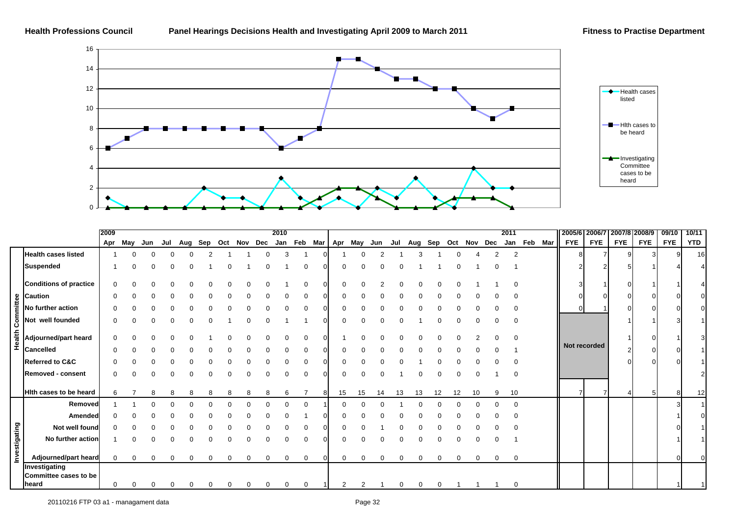

|               |                                                                                                              | 2009 |          |     |  |                                               |          | 2010 |   |                |    |          |     |    |    |    |    |   |                         | 2011     |             | 2005/6 2006/7 |              | 2007/8 2008/9 |            | 09/10      | 10/11      |
|---------------|--------------------------------------------------------------------------------------------------------------|------|----------|-----|--|-----------------------------------------------|----------|------|---|----------------|----|----------|-----|----|----|----|----|---|-------------------------|----------|-------------|---------------|--------------|---------------|------------|------------|------------|
|               |                                                                                                              | Apr  | May      | Jun |  | Jul Aug Sep Oct Nov Dec Jan Feb Mar   Apr May |          |      |   |                |    |          | Jun |    |    |    |    |   | Jul Aug Sep Oct Nov Dec |          | Jan Feb Mar | <b>FYE</b>    | <b>FYE</b>   | <b>FYE</b>    | <b>FYE</b> | <b>FYE</b> | <b>YTD</b> |
|               | <b>Health cases listed</b>                                                                                   |      |          |     |  |                                               |          |      |   |                |    |          |     |    |    |    |    |   |                         |          |             |               |              |               |            |            | 16         |
|               | <b>Suspended</b>                                                                                             |      |          |     |  |                                               |          |      |   |                |    |          |     |    |    |    |    |   |                         |          |             |               |              |               |            |            |            |
|               | <b>Conditions of practice</b>                                                                                | 0    |          |     |  |                                               |          |      |   |                |    |          |     |    |    |    |    |   |                         |          |             |               |              |               |            |            |            |
|               |                                                                                                              |      |          |     |  |                                               |          |      |   |                |    |          |     |    |    |    |    |   |                         |          |             |               |              |               |            |            |            |
|               | No further action                                                                                            |      |          |     |  |                                               |          |      |   |                |    |          |     |    |    |    |    |   |                         |          |             | $\Omega$      |              |               |            |            |            |
|               | estantion<br>No furth<br>Not wel<br>$\frac{1}{2}$<br>Adjourr<br>$\frac{1}{2}$<br>Cancell<br>Not well founded |      |          |     |  |                                               |          |      |   |                |    |          |     |    |    |    |    |   |                         |          |             |               |              |               |            |            |            |
|               | Adjourned/part heard                                                                                         | 0    |          |     |  |                                               |          |      |   |                |    |          |     |    |    |    |    |   |                         |          |             |               | Not recorded |               |            |            |            |
|               | <b>Cancelled</b>                                                                                             |      |          |     |  |                                               |          |      |   |                |    |          |     |    |    |    |    |   |                         |          |             |               |              |               |            |            |            |
|               | <b>Referred to C&amp;C</b>                                                                                   |      |          |     |  |                                               |          |      |   |                |    |          |     |    |    |    |    |   |                         |          |             |               |              |               | $\cap$     |            |            |
|               | Removed - consent                                                                                            |      |          |     |  |                                               |          |      |   |                |    |          |     |    |    |    |    |   |                         |          |             |               |              |               |            |            | 21         |
|               | <b>Hith cases to be heard</b>                                                                                |      |          |     |  |                                               |          |      |   | 81             | 15 | 15       |     | 13 | 13 | 12 | 12 |   | 9                       | 10       |             |               |              |               | 5          |            | 12         |
|               | Removed                                                                                                      |      |          |     |  |                                               |          |      |   |                |    |          |     |    |    |    |    |   |                         | $\Omega$ |             |               |              |               |            |            |            |
|               | Amended                                                                                                      |      |          |     |  |                                               |          |      |   |                |    |          |     |    |    |    |    |   |                         |          |             |               |              |               |            |            | $\Omega$   |
|               | Not well found                                                                                               |      |          |     |  |                                               |          |      |   |                |    |          |     |    |    |    |    |   |                         |          |             |               |              |               |            |            |            |
|               | No further action                                                                                            |      |          |     |  |                                               |          |      |   |                |    |          |     |    |    |    |    |   |                         |          |             |               |              |               |            |            |            |
| Investigating | Adjourned/part heard                                                                                         | 0    | $\Omega$ |     |  | 0                                             | $\Omega$ | 0    | 0 | $\overline{0}$ |    | $\Omega$ |     | 0  | 0  | 0  | 0  | 0 | 0                       | 0        |             |               |              |               |            |            |            |
|               | Investigating<br>Committee cases to be                                                                       |      |          |     |  |                                               |          |      |   |                |    |          |     |    |    |    |    |   |                         |          |             |               |              |               |            |            |            |
|               | heard                                                                                                        |      |          |     |  |                                               |          |      |   |                |    |          |     |    |    |    |    |   |                         | $\Omega$ |             |               |              |               |            |            |            |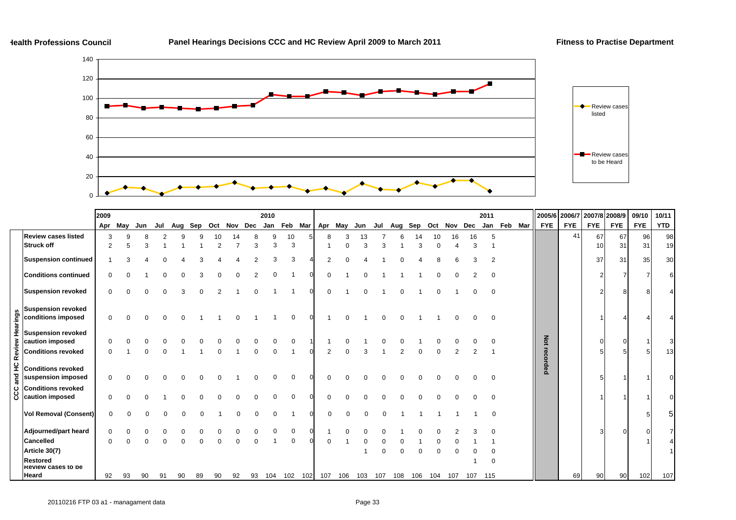

|          |                                                 | 2009     |              |     |     |    |    |    |    |    | 2010 |                                                         |   |     |             |  |     |             |     |         | 2011           |             |              | 2005/6 2006/7 | 2007/8 2008/9   |            | 09/10 | 10/11 |
|----------|-------------------------------------------------|----------|--------------|-----|-----|----|----|----|----|----|------|---------------------------------------------------------|---|-----|-------------|--|-----|-------------|-----|---------|----------------|-------------|--------------|---------------|-----------------|------------|-------|-------|
|          |                                                 | Apr      | May          | Jun | Jul |    |    |    |    |    |      | Aug Sep Oct Nov Dec Jan Feb Mar Apr May Jun Jul Aug Sep |   |     |             |  |     | Oct Nov Dec |     |         |                | Jan Feb Mar | <b>FYE</b>   | <b>FYE</b>    | <b>FYE</b>      | <b>FYE</b> | FYE   | YTD   |
|          | <b>Review cases listed</b>                      | 3        | $\mathbf{Q}$ |     |     |    |    | 10 | 14 |    | 9    | 10                                                      | 8 | З   | 13          |  |     | 10          | 16  | 16      | 5              |             |              | 41            | 67              | 67         | 96    | 98    |
|          | <b>Struck off</b>                               | 2        |              |     |     |    |    |    |    | 3  | 3    | 3                                                       |   |     |             |  |     |             |     | 3       |                |             |              |               | 10 <sup>1</sup> | 31         | 31    | 19    |
|          | <b>Suspension continued</b>                     |          |              |     |     |    |    |    |    |    |      | 3                                                       |   |     |             |  |     |             |     |         | $\overline{2}$ |             |              |               | 37              | 31         | 35    | 30    |
|          | <b>Conditions continued</b>                     | $\Omega$ |              |     |     |    |    |    |    |    |      |                                                         |   |     |             |  |     |             |     |         |                |             |              |               |                 |            |       |       |
|          | <b>Suspension revoked</b>                       | 0        |              |     |     |    |    |    |    |    |      |                                                         |   |     |             |  |     |             |     |         | ∩              |             |              |               |                 |            |       |       |
| Hearings | <b>Suspension revoked</b><br>conditions imposed | 0        |              |     |     |    |    |    |    |    |      | $\Omega$                                                |   |     |             |  |     |             |     |         |                |             |              |               |                 |            |       |       |
|          | <b>Suspension revoked</b><br>caution imposed    |          |              |     |     |    |    |    |    |    |      |                                                         |   |     |             |  |     |             |     |         |                |             |              |               |                 |            |       |       |
| Review   | <b>Conditions revoked</b>                       |          |              |     |     |    |    |    |    |    |      |                                                         |   |     |             |  |     |             |     |         |                |             | Not recorded |               |                 |            |       | 13    |
| and HC   | <b>Conditions revoked</b><br>suspension imposed | $\Omega$ |              |     |     |    |    |    |    |    |      | $\Omega$                                                |   |     |             |  |     |             |     |         |                |             |              |               |                 |            |       |       |
| ပ္ပ      | <b>Conditions revoked</b><br>caution imposed    | 0        |              |     |     |    |    |    |    |    |      |                                                         |   |     |             |  |     |             |     |         |                |             |              |               |                 |            |       |       |
|          | <b>Vol Removal (Consent)</b>                    | $\Omega$ |              |     |     |    |    |    |    |    |      |                                                         |   |     |             |  |     |             |     |         | $\Omega$       |             |              |               |                 |            |       | 5     |
|          | Adjourned/part heard                            |          |              |     |     |    |    |    |    |    |      |                                                         |   |     |             |  |     |             |     |         |                |             |              |               |                 |            |       |       |
|          | <b>Cancelled</b>                                |          |              |     |     |    |    |    |    |    |      | $\Omega$                                                |   |     |             |  |     |             |     |         |                |             |              |               |                 |            |       |       |
|          | Article 30(7)                                   |          |              |     |     |    |    |    |    |    |      |                                                         |   |     |             |  |     |             |     |         |                |             |              |               |                 |            |       |       |
|          | Restored<br><b>Review cases to be</b>           |          |              |     |     |    |    |    |    |    |      |                                                         |   |     |             |  |     |             |     |         |                |             |              |               |                 |            |       |       |
|          | Heard                                           | 92       | 93           | 90  | 91  | 90 | 89 | 90 | 92 | 93 | 104  | 102 102 107                                             |   | 106 | 103 107 108 |  | 106 | 104         | 107 | 107 115 |                |             |              | 69            | 90              | 90         | 102   | 107   |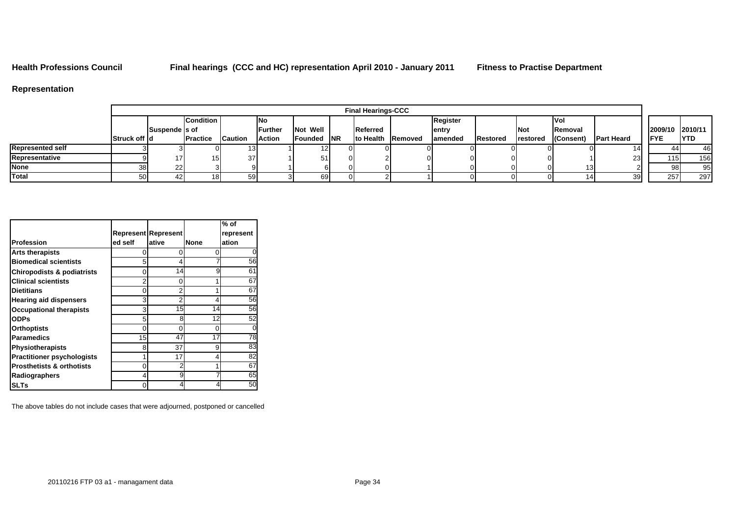**Health Professions Council Final hearings (CCC and HC) representation April 2010 - January 2011 Fitness to Practise Department**

## **Representation**

|                         |               |                |                  |                |                 |                    |    | <b>Final Hearings-CCC</b> |          |                 |                  |           |                    |                  |             |
|-------------------------|---------------|----------------|------------------|----------------|-----------------|--------------------|----|---------------------------|----------|-----------------|------------------|-----------|--------------------|------------------|-------------|
|                         |               |                | <b>Condition</b> |                | INo             |                    |    |                           | Register |                 |                  | ۱Vo       |                    |                  |             |
|                         |               | Suspende Is of |                  |                | <b>IFurther</b> | <b>Not Well</b>    |    | Referred                  | lentry   |                 | <b>Not</b>       | IRemoval  |                    | 2009/10 2010/11  |             |
|                         | Struck off Id |                | <b>IPractice</b> | <b>Caution</b> | Action          | <b>Founded INR</b> |    | <b>Ito Health Removed</b> | lamended | <b>Restored</b> | <b>Irestored</b> | (Consent) | <b>IPart Heard</b> | <b>IFYE</b>      | <b>IYTD</b> |
| <b>Represented self</b> |               |                |                  |                |                 |                    | 01 |                           |          |                 |                  |           |                    | 44               | 46          |
| Representative          |               |                | 15.              | 37             |                 | 51                 | ΩI |                           |          |                 |                  |           |                    | 115 <sub>1</sub> | 156         |
| <b>None</b>             | 38I           | 221            |                  |                |                 |                    | וח |                           |          |                 |                  |           |                    | 98               | 95          |
| Total                   | 50            |                | 181              | 59             |                 | 69                 |    |                           |          |                 |                  |           |                    | 257              | 297         |

|                                       |                |                            |             | $%$ of    |
|---------------------------------------|----------------|----------------------------|-------------|-----------|
|                                       |                | <b>Represent Represent</b> |             | represent |
| <b>Profession</b>                     | ed self        | ative                      | <b>None</b> | ation     |
| <b>Arts therapists</b>                | 0              | O                          | 0           |           |
| <b>Biomedical scientists</b>          | 5              | 4                          |             | 56        |
| <b>Chiropodists &amp; podiatrists</b> | 0              | 14                         | 9           | 61        |
| <b>Clinical scientists</b>            | $\overline{2}$ | 0                          | 1           | 67        |
| <b>Dietitians</b>                     | $\Omega$       | $\overline{2}$             | 1           | 67        |
| <b>Hearing aid dispensers</b>         | 3              | 2                          | 4           | 56        |
| <b>Occupational therapists</b>        | 3              | 15                         | 14          | 56        |
| <b>ODPs</b>                           | 5              | 8                          | 12          | 52        |
| Orthoptists                           | $\Omega$       | 0                          | 0           |           |
| <b>Paramedics</b>                     | 15             | 47                         | 17          | 78        |
| <b>Physiotherapists</b>               | 8              | 37                         | 9           | 83        |
| <b>Practitioner psychologists</b>     | 1              | 17                         | 4           | 82        |
| <b>Prosthetists &amp; orthotists</b>  | 0              |                            | 1           | 67        |
| Radiographers                         | 4              | 9                          | 7           | 65        |
| SLTs                                  | 0              |                            | 4           | 50        |

The above tables do not include cases that were adjourned, postponed or cancelled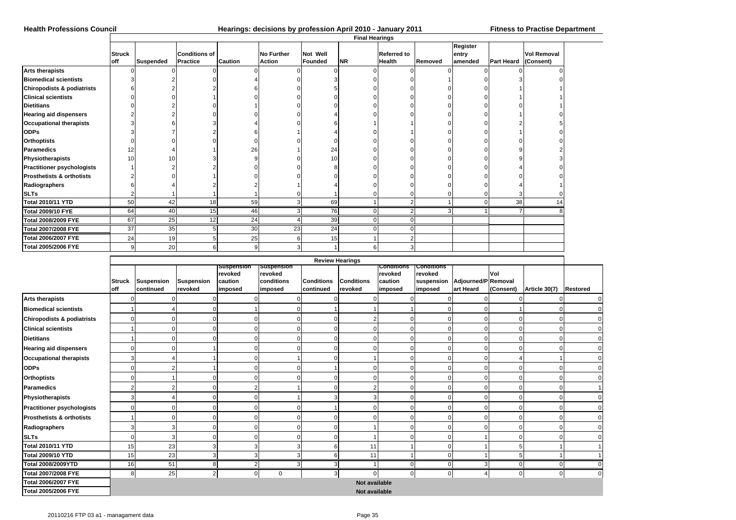### **Health Professions Council Hearings: decisions by profession April 2010 - January 2011 Fitness to Practise Department**

|                                       |                      |                  |                                         |                |                                    |                            | <b>Final Hearings</b> |                                     |         |                              |                   |                                 |  |
|---------------------------------------|----------------------|------------------|-----------------------------------------|----------------|------------------------------------|----------------------------|-----------------------|-------------------------------------|---------|------------------------------|-------------------|---------------------------------|--|
|                                       | <b>Struck</b><br>off | <b>Suspended</b> | <b>Conditions of</b><br><b>Practice</b> | <b>Caution</b> | <b>No Further</b><br><b>Action</b> | Not Well<br><b>Founded</b> | <b>NR</b>             | <b>Referred to</b><br><b>Health</b> | Removed | Register<br>entry<br>amended | <b>Part Heard</b> | <b>Vol Removal</b><br>(Consent) |  |
| <b>Arts therapists</b>                |                      |                  |                                         |                |                                    |                            |                       |                                     |         |                              |                   |                                 |  |
| <b>Biomedical scientists</b>          |                      |                  |                                         |                |                                    |                            |                       |                                     |         |                              |                   |                                 |  |
| <b>Chiropodists &amp; podiatrists</b> |                      |                  |                                         |                |                                    |                            |                       |                                     |         |                              |                   |                                 |  |
| <b>Clinical scientists</b>            |                      |                  |                                         |                |                                    |                            |                       |                                     |         |                              |                   |                                 |  |
| <b>Dietitians</b>                     |                      |                  |                                         |                |                                    |                            |                       |                                     |         |                              |                   |                                 |  |
| <b>Hearing aid dispensers</b>         |                      |                  |                                         |                |                                    |                            |                       |                                     |         |                              |                   |                                 |  |
| <b>Occupational therapists</b>        |                      |                  |                                         |                |                                    |                            |                       |                                     |         |                              |                   |                                 |  |
| <b>ODPs</b>                           |                      |                  |                                         |                |                                    |                            |                       |                                     |         |                              |                   |                                 |  |
| <b>Orthoptists</b>                    |                      |                  |                                         |                |                                    |                            |                       |                                     |         |                              |                   |                                 |  |
| <b>Paramedics</b>                     | 12                   |                  |                                         | 26             |                                    | 24                         |                       |                                     |         |                              |                   |                                 |  |
| Physiotherapists                      | 10                   | 10               |                                         |                |                                    | 10                         |                       |                                     |         |                              |                   |                                 |  |
| <b>Practitioner psychologists</b>     |                      |                  |                                         |                |                                    |                            |                       |                                     |         |                              |                   |                                 |  |
| <b>Prosthetists &amp; orthotists</b>  |                      |                  |                                         |                |                                    |                            |                       |                                     |         |                              |                   |                                 |  |
| Radiographers                         |                      |                  |                                         |                |                                    |                            |                       |                                     |         |                              |                   |                                 |  |
| <b>SLTs</b>                           |                      |                  |                                         |                |                                    |                            |                       |                                     |         |                              |                   |                                 |  |
| Total 2010/11 YTD                     | 50                   | 42               | 18                                      | 59             |                                    | 69                         |                       | 2                                   |         | $\Omega$                     | 38                |                                 |  |
| <b>Total 2009/10 FYE</b>              | 64                   | 40               | 15                                      | 46             |                                    | 76                         | ი                     | $\overline{2}$                      |         |                              |                   |                                 |  |
| Total 2008/2009 FYE                   | 67                   | 25               | 12                                      | 24             |                                    | 39                         | $\mathbf 0$           | $\Omega$                            |         |                              |                   |                                 |  |
| Total 2007/2008 FYE                   | $\overline{37}$      | 35               |                                         | 30             | 23                                 | $\overline{24}$            | $\Omega$              | $\Omega$                            |         |                              |                   |                                 |  |
| <b>Total 2006/2007 FYE</b>            | 24                   | 19               | 5                                       | 25             |                                    | 15                         |                       | $\overline{2}$                      |         |                              |                   |                                 |  |
| <b>Total 2005/2006 FYE</b>            | 9                    | 20               | 6                                       | 9              |                                    |                            | 6                     |                                     |         |                              |                   |                                 |  |

|                                       |                      |                                |                       |                                             |                                                |                                | <b>Review Hearings</b>       |                                                    |                                                                             |           |                  |               |                 |
|---------------------------------------|----------------------|--------------------------------|-----------------------|---------------------------------------------|------------------------------------------------|--------------------------------|------------------------------|----------------------------------------------------|-----------------------------------------------------------------------------|-----------|------------------|---------------|-----------------|
|                                       | <b>Struck</b><br>off | <b>Suspension</b><br>continued | Suspension<br>revoked | Suspension<br>revoked<br>caution<br>imposed | Suspension<br>revoked<br>conditions<br>imposed | <b>Conditions</b><br>continued | <b>Conditions</b><br>revoked | <b>Conditions</b><br>revoked<br>caution<br>imposed | <b>Conditions</b><br>revoked<br>suspension   Adjourned/P Removal<br>imposed | art Heard | Vol<br>(Consent) | Article 30(7) | <b>Restored</b> |
| <b>Arts therapists</b>                |                      |                                |                       |                                             |                                                | $\Omega$                       |                              |                                                    |                                                                             |           |                  |               | 0               |
| <b>Biomedical scientists</b>          |                      |                                |                       |                                             |                                                |                                |                              |                                                    |                                                                             |           |                  | $\mathbf{0}$  | $\mathbf 0$     |
| <b>Chiropodists &amp; podiatrists</b> |                      |                                |                       | $\mathbf 0$                                 |                                                | $\mathbf 0$                    | 2                            |                                                    |                                                                             |           |                  | $\mathbf 0$   | $\mathbf 0$     |
| <b>Clinical scientists</b>            |                      | C                              |                       | $\Omega$                                    |                                                | $\mathbf 0$                    |                              |                                                    |                                                                             |           |                  | $\mathbf 0$   | $\mathbf 0$     |
| <b>Dietitians</b>                     |                      |                                |                       | $\mathbf{0}$                                |                                                | $\mathbf 0$                    |                              |                                                    |                                                                             |           |                  | $\mathbf{0}$  | $\overline{0}$  |
| <b>Hearing aid dispensers</b>         |                      |                                |                       | $\mathbf{0}$                                |                                                | $\mathbf 0$                    |                              |                                                    |                                                                             |           |                  | $\Omega$      | 0               |
| <b>Occupational therapists</b>        |                      |                                |                       | $\Omega$                                    |                                                | $\mathbf 0$                    |                              |                                                    |                                                                             |           |                  |               | $\mathbf 0$     |
| <b>ODPs</b>                           | ŋ                    |                                |                       | $\mathbf{0}$                                |                                                |                                |                              |                                                    |                                                                             |           |                  | $\mathbf{0}$  | 0               |
| <b>Orthoptists</b>                    |                      |                                |                       | $\mathbf{0}$                                |                                                | $\mathbf 0$                    |                              |                                                    |                                                                             |           |                  | $\mathbf{0}$  | $\mathbf 0$     |
| <b>Paramedics</b>                     | 2                    |                                |                       | $\overline{2}$                              |                                                | 0                              |                              |                                                    |                                                                             |           |                  | $\mathbf 0$   | 1               |
| Physiotherapists                      | 3                    |                                |                       | $\mathbf{0}$                                |                                                | 3                              | 3                            |                                                    |                                                                             |           |                  | $\mathbf 0$   | $\mathbf 0$     |
| <b>Practitioner psychologists</b>     | ∩                    | C                              |                       | $\mathbf{0}$                                |                                                |                                |                              |                                                    |                                                                             |           |                  | $\mathbf 0$   | $\mathbf 0$     |
| <b>Prosthetists &amp; orthotists</b>  |                      |                                |                       | $\mathbf{0}$                                |                                                | $\mathbf 0$                    |                              |                                                    |                                                                             |           |                  | $\mathbf 0$   | $\mathbf 0$     |
| Radiographers                         |                      |                                |                       | 0                                           |                                                | $\mathbf 0$                    |                              |                                                    |                                                                             |           |                  | $\Omega$      | $\mathbf 0$     |
| <b>SLTs</b>                           | O                    | з                              |                       | 0                                           |                                                | $\mathbf 0$                    |                              |                                                    |                                                                             |           |                  | $\Omega$      | $\mathbf 0$     |
| <b>Total 2010/11 YTD</b>              | 15                   | 23                             |                       | 3                                           |                                                | 6                              | 11                           |                                                    |                                                                             |           |                  |               |                 |
| <b>Total 2009/10 YTD</b>              | 15                   | 23                             | 3                     | 3                                           |                                                | 6                              | 11                           |                                                    |                                                                             |           |                  |               |                 |
| <b>Total 2008/2009YTD</b>             | 16                   | 51                             | 8                     | $\sim$                                      |                                                | 3                              |                              |                                                    |                                                                             | 2         |                  | $\mathbf 0$   | $\mathbf 0$     |
| <b>Total 2007/2008 FYE</b>            | 8 <sup>1</sup>       | 25                             | $\overline{2}$        | $\overline{0}$                              | $\Omega$                                       | 3                              |                              | $\Omega$                                           | $\Omega$                                                                    |           |                  | $\mathbf{0}$  | $\Omega$        |
| <b>Total 2006/2007 FYE</b>            |                      |                                |                       |                                             |                                                |                                | Not available                |                                                    |                                                                             |           |                  |               |                 |
| <b>Total 2005/2006 FYE</b>            |                      |                                |                       |                                             |                                                |                                | Not available                |                                                    |                                                                             |           |                  |               |                 |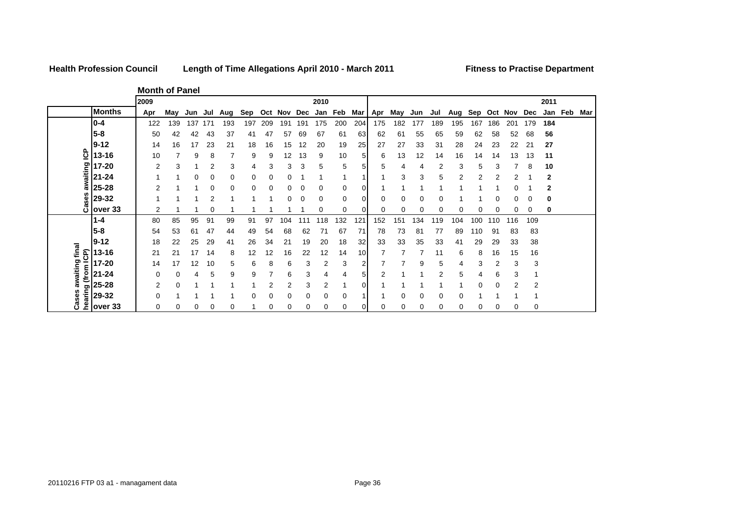## **Health Profession Council**

**Length of Time Allegations April 2010 - March 2011 Fitness to Practise Department**

**Month of Panel**

|                  |               | 2009 |     |     |     |     |     |     |     |     | 2010 |     |     |     |     |     |     |     |     |     |     |             | 2011 |         |     |
|------------------|---------------|------|-----|-----|-----|-----|-----|-----|-----|-----|------|-----|-----|-----|-----|-----|-----|-----|-----|-----|-----|-------------|------|---------|-----|
|                  | <b>Months</b> | Apr  | Mav | Jun | Jul | Aug | Sep | Oct | Nov | Dec | Jan  | Feb | Mar | Apr | May | Jun | Jul | Aug | Sep | Oct | Nov | Dec         |      | Jan Feb | Mar |
|                  | $0 - 4$       | 122  | 139 | 137 | 171 | 193 | 197 | 209 | 191 | 191 | 175  | 200 | 204 | 175 | 182 | 177 | 189 | 195 | 167 | 86  | 20٬ | 179         | 184  |         |     |
|                  | 5-8           | 50   | 42  | 42  | 43  | 37  | 41  | 47  | 57  | 69  | 67   | 61  | 63  | 62  | 61  | 55  | 65  | 59  | 62  | 58  | 52  | 68          | 56   |         |     |
|                  | $ 9-12 $      | 14   | 16  | 17  | 23  | 21  | 18  | 16  | 15  | 12  | 20   | 19  | 25  | 27  | 27  | 33  | 31  | 28  | 24  | 23  | 22  | $2^{\circ}$ | 27   |         |     |
| င်္              | 13-16         | 10   |     | 9   | 8   |     | 9   | 9   | 12  | 13  | 9    | 10  | 5   | 6   | 13  | 12  | 14  | 16  | 14  | 14  | 13  | 13          | 11   |         |     |
|                  | 17-20         | 2    | 3   |     | 2   | 3   | 4   | 3   | 3   | 3   | 5    | 5   | 5   | 5   | 4   | 4   | 2   | 3   | 5   |     |     | 8           | 10   |         |     |
| awaiting         | $21 - 24$     |      |     | 0   | 0   | 0   | 0   | 0   | 0   |     |      | -1  |     |     | 3   | 3   | 5   |     | 2   |     |     |             | 2    |         |     |
|                  | 25-28         | 2    |     |     | C   |     | 0   | 0   | 0   | 0   | 0    | 0   | 0   |     |     |     |     |     |     |     |     |             | 2    |         |     |
| ses              | 29-32         |      |     |     |     |     |     |     |     |     | 0    | 0   | 0   |     | 0   | 0   |     |     |     |     |     |             | 0    |         |     |
| ۊ                | over 33       | 2    |     |     |     |     |     |     |     |     |      | 0   |     |     | 0   | ი   |     |     | Ω   |     |     | 0           | 0    |         |     |
|                  | 1-4           | 80   | 85  | 95  | 91  | 99  | 91  | 97  | 104 |     | 18   | 132 | 12' | 152 | 151 | 134 | 119 | 104 | 100 | 10  | 116 | 109         |      |         |     |
|                  | $5 - 8$       | 54   | 53  | 61  | 47  | 44  | 49  | 54  | 68  | 62  | 71   | 67  | 71  | 78  | 73  | 81  | 77  | 89  | 110 | 91  | 83  | 83          |      |         |     |
|                  | $9 - 12$      | 18   | 22  | 25  | 29  | 41  | 26  | 34  | 21  | 19  | 20   | 18  | 32  | 33  | 33  | 35  | 33  | 41  | 29  | 29  | 33  | 38          |      |         |     |
| awaiting final   | 13-16         | 21   | 21  | 17  | 14  | 8   | 12  | 12  | 16  | 22  | 12   | 14  | 10  |     |     |     | 11  | 6   | 8   | 16  | 15  | 16          |      |         |     |
| (from ICP)       | 17-20         | 14   | 17  | 12  | 10  | 5   | 6   | 8   | 6   | 3   | 2    | 3   | 2   |     |     | 9   | 5   | 4   | 3   | 2   | 3   | 3           |      |         |     |
|                  | $21 - 24$     | 0    | 0   |     | 5   | 9   | 9   |     | 6   | 3   | 4    | 4   | 5   | 2   |     |     | 2   | 5   |     |     |     |             |      |         |     |
|                  | 25-28         | 2    | 0   |     |     |     |     |     | 2   | 3   | 2    | и   | 0   |     |     |     |     |     | 0   |     | c   | 2           |      |         |     |
| hearing<br>Cases | 29-32         |      |     |     |     |     |     | C   | 0   | O   | 0    | 0   |     |     | 0   |     |     |     |     |     |     |             |      |         |     |
|                  | over 33       | 0    | 0   | 0   | C   |     |     | C   | 0   | 0   | 0    | 0   | 0   |     | 0   | 0   | 0   | 0   | 0   |     |     | 0           |      |         |     |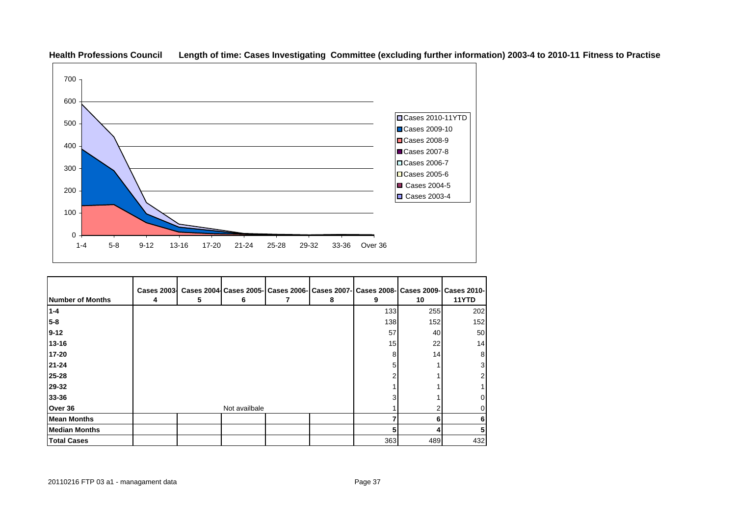

**Health Professions Council Length of time: Cases Investigating Committee (excluding further information) 2003-4 to 2010-11 Fitness to Practise**

|                      | <b>Cases 2003-</b> |   |               |   |     |     | Cases 2004 Cases 2005   Cases 2006   Cases 2007   Cases 2008   Cases 2009   Cases 2010 |
|----------------------|--------------------|---|---------------|---|-----|-----|----------------------------------------------------------------------------------------|
| Number of Months     | 4                  | 5 | 6             | 8 | 9   | 10  | 11YTD                                                                                  |
| $1 - 4$              |                    |   |               |   | 133 | 255 | 202                                                                                    |
| $5 - 8$              |                    |   |               |   | 138 | 152 | 152                                                                                    |
| $9 - 12$             |                    |   |               |   | 57  | 40  | 50                                                                                     |
| $13 - 16$            |                    |   |               |   | 15  | 22  | 14                                                                                     |
| 17-20                |                    |   |               |   | 8   | 14  | 8                                                                                      |
| 21-24                |                    |   |               |   |     |     |                                                                                        |
| 25-28                |                    |   |               |   |     |     |                                                                                        |
| 29-32                |                    |   |               |   |     |     |                                                                                        |
| 33-36                |                    |   |               |   |     |     |                                                                                        |
| Over 36              |                    |   | Not availbale |   |     |     |                                                                                        |
| <b>Mean Months</b>   |                    |   |               |   |     | 6   |                                                                                        |
| <b>Median Months</b> |                    |   |               |   |     |     |                                                                                        |
| <b>Total Cases</b>   |                    |   |               |   | 363 | 489 | 432                                                                                    |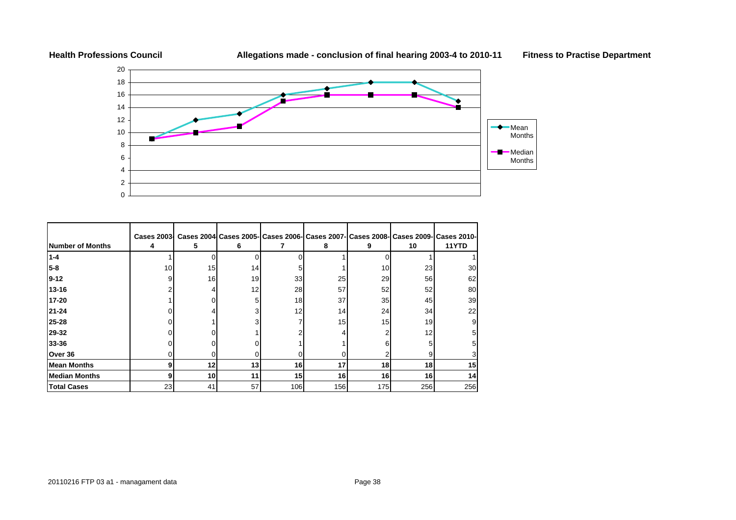



| <b>Number of Months</b> | Cases 2003<br>4 | 5.              | 6  |     | 8   | 9   | 10  | Cases 2004 Cases 2005- Cases 2006- Cases 2007- Cases 2008- Cases 2009- Cases 2010-<br>11YTD |
|-------------------------|-----------------|-----------------|----|-----|-----|-----|-----|---------------------------------------------------------------------------------------------|
| $1 - 4$                 |                 |                 | ∩  |     |     |     |     |                                                                                             |
| $5 - 8$                 | 10              | 15              | 14 |     |     | 10  | 23  | 30                                                                                          |
| <b>19-12</b>            | g               | 16              | 19 | 33  | 25  | 29  | 56  | 62                                                                                          |
| $13 - 16$               |                 |                 | 12 | 28  | 57  | 52  | 52  | 80                                                                                          |
| 17-20                   |                 |                 | 5  | 18  | 37  | 35  | 45  | 39                                                                                          |
| 21-24                   |                 |                 |    | 12  | 14  | 24  | 34  | 22                                                                                          |
| 25-28                   |                 |                 |    |     | 15  | 15  | 19  |                                                                                             |
| 29-32                   |                 |                 |    |     |     |     | 12  |                                                                                             |
| 33-36                   |                 |                 |    |     |     |     | 5   |                                                                                             |
| Over 36                 |                 |                 |    |     |     |     | 9   |                                                                                             |
| <b>Mean Months</b>      |                 | 12 <sub>1</sub> | 13 | 16  | 17  | 18  | 18  | 15                                                                                          |
| <b>Median Months</b>    |                 | 10              | 11 | 15  | 16  | 16  | 16  | 14                                                                                          |
| <b>Total Cases</b>      | 23              | 41              | 57 | 106 | 156 | 175 | 256 | 256                                                                                         |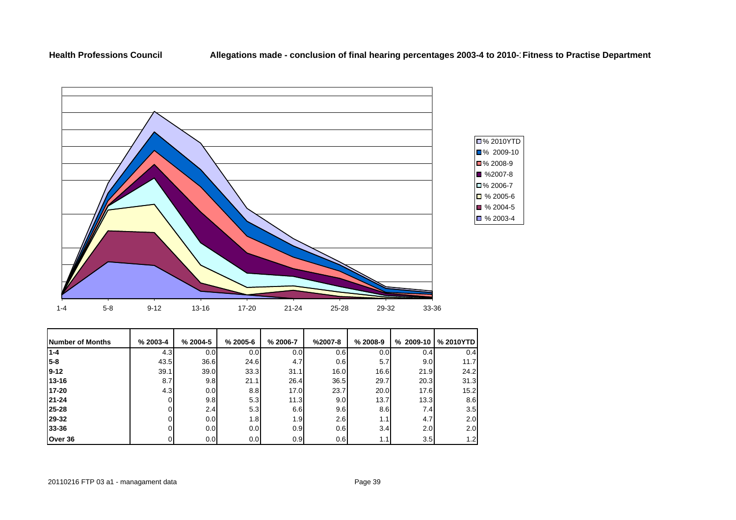

| <b>Number of Months</b> | $% 2003 - 4$ | $% 2004-5$ | $% 2005 - 6$ | % 2006-7         | $%2007-8$        | $% 2008-9$ | $%2009-10$ | % 2010YTD |
|-------------------------|--------------|------------|--------------|------------------|------------------|------------|------------|-----------|
| $1 - 4$                 | 4.3          | 0.0        | 0.0          | 0.01             | 0.6              | 0.0        | 0.4        | 0.4       |
| $5 - 8$                 | 43.5         | 36.6       | 24.6         | 4.7              | 0.6              | 5.7        | 9.0        | 11.7      |
| $9 - 12$                | 39.1         | 39.0       | 33.3         | 31.1             | 16.0             | 16.6       | 21.9       | 24.2      |
| 13-16                   | 8.7          | 9.8        | 21.1         | 26.4             | 36.5             | 29.7       | 20.3       | 31.3      |
| 17-20                   | 4.3          | 0.0        | 8.8          | 17.0             | 23.7             | 20.0       | 17.6       | 15.2      |
| 21-24                   |              | 9.8        | 5.3          | 11.3             | 9.0 <sub>l</sub> | 13.7       | 13.3       | 8.6       |
| 25-28                   |              | 2.4        | 5.3          | 6.6              | 9.6              | 8.6        | 7.4        | 3.5       |
| 29-32                   |              | 0.0        | 1.8          | 1.9 <sub>l</sub> | 2.6              | 1.1        | 4.7        | 2.0       |
| 33-36                   |              | 0.0        | 0.0          | 0.9 <sub>l</sub> | 0.6              | 3.4        | 2.01       | 2.0       |
| Over 36                 |              | 0.0        | 0.0          | 0.9              | 0.6              | 1.1        | 3.5        | 1.2       |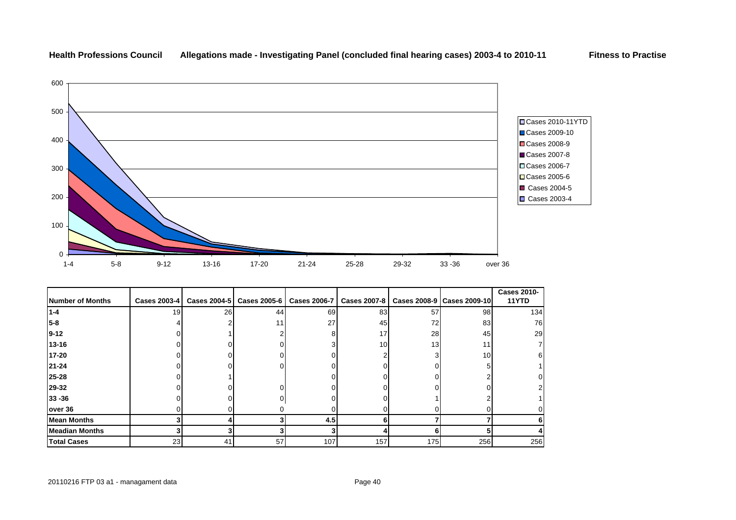

## **Health Professions Council Allegations made - Investigating Panel (concluded final hearing cases) 2003-4 to 2010-11 Fitness to Practise**

|                       |              |    |                           |              |                     |     |                              | <b>Cases 2010-</b> |
|-----------------------|--------------|----|---------------------------|--------------|---------------------|-----|------------------------------|--------------------|
| Number of Months      | Cases 2003-4 |    | Cases 2004-5 Cases 2005-6 | Cases 2006-7 | <b>Cases 2007-8</b> |     | Cases 2008-9   Cases 2009-10 | 11YTD              |
| $1 - 4$               | 19           | 26 | 44                        | 69           | 83                  | 57  | 98                           | 134                |
| $5 - 8$               |              |    | 11                        | 27           | 45                  | 72  | 83                           | 76                 |
| $9 - 12$              |              |    |                           |              | 17                  | 28  | 45                           | 29                 |
| 13-16                 |              |    |                           |              | 10                  | 13  | 11                           | 7                  |
| 17-20                 |              |    |                           |              |                     |     | 10                           | 6                  |
| $21 - 24$             |              |    |                           |              |                     |     |                              |                    |
| 25-28                 |              |    |                           |              |                     |     |                              | 0                  |
| 29-32                 |              |    |                           |              |                     |     |                              | $\overline{2}$     |
| $33 - 36$             |              |    |                           |              |                     |     |                              |                    |
| over 36               |              |    |                           |              |                     |     |                              | 0                  |
| <b>Mean Months</b>    |              |    |                           | 4.5          |                     |     |                              |                    |
| <b>Meadian Months</b> |              |    |                           |              |                     |     |                              |                    |
| <b>Total Cases</b>    | 23           | 41 | 57                        | 107          | 157                 | 175 | 256                          | 256                |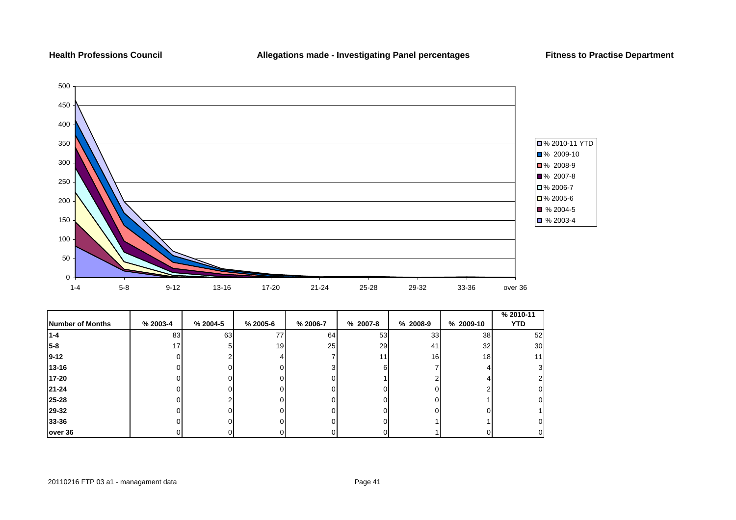## **Health Professions Council**



| Number of Months | % 2003-4 | $% 2004-5$ | % 2005-6        | % 2006-7 | % 2007-8 | % 2008-9 | % 2009-10       | % 2010-11<br><b>YTD</b> |
|------------------|----------|------------|-----------------|----------|----------|----------|-----------------|-------------------------|
| $1 - 4$          | 83       | 63         | 77              | 64       | 53       | 33       | 38              | 52                      |
| $5 - 8$          | 17       |            | 19 <sup>l</sup> | 25       | 29       | 41       | 32              | 30                      |
| $9 - 12$         |          |            |                 |          | 11       | 16       | 18 <sub>l</sub> | 11                      |
| 13-16            |          |            |                 |          | n        |          |                 | 31                      |
| 17-20            |          |            |                 |          |          |          |                 | 2                       |
| $21 - 24$        |          |            |                 |          |          |          |                 | 01                      |
| 25-28            |          |            |                 |          |          |          |                 | 0                       |
| 29-32            |          |            |                 |          |          |          |                 |                         |
| 33-36            |          |            |                 |          |          |          |                 | 01                      |
| over 36          |          |            |                 |          |          |          |                 | 01                      |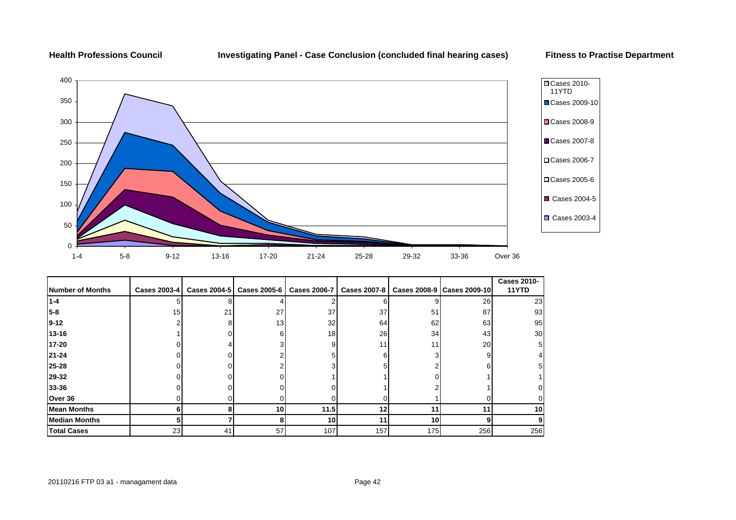**Health Professions Council Investigating Panel - Case Conclusion (concluded final hearing cases) Fitness to Practise Department**



|                      |              |    |                           |      |     |     |                                                            | <b>Cases 2010-</b> |
|----------------------|--------------|----|---------------------------|------|-----|-----|------------------------------------------------------------|--------------------|
| Number of Months     | Cases 2003-4 |    | Cases 2004-5 Cases 2005-6 |      |     |     | Cases 2006-7   Cases 2007-8   Cases 2008-9   Cases 2009-10 | 11YTD              |
| $1 - 4$              |              |    |                           |      |     |     | 26                                                         | 23                 |
| $5-8$                | 15           | 21 | 27                        | 37   | 37  | 51  | 87                                                         | 93                 |
| $9 - 12$             |              |    | 13                        | 32   | 64  | 62  | 63                                                         | 95                 |
| 13-16                |              |    |                           | 18   | 26  | 34  | 43                                                         | 30                 |
| 17-20                |              |    |                           |      |     | 11  | 20                                                         | 5                  |
| $21 - 24$            |              |    |                           |      |     |     | 9                                                          |                    |
| 25-28                |              |    |                           |      |     |     | n.                                                         | 51                 |
| 29-32                |              |    |                           |      |     |     |                                                            |                    |
| 33-36                |              |    |                           |      |     |     |                                                            |                    |
| Over 36              |              |    |                           |      |     |     |                                                            |                    |
| <b>Mean Months</b>   |              |    | 10                        | 11.5 | 12  | 11  | 11                                                         | 10                 |
| <b>Median Months</b> | 5            |    |                           | 10   | 11  | 10  | g                                                          | 9                  |
| <b>Total Cases</b>   | 23           | 41 | 57                        | 107  | 157 | 175 | 256                                                        | 256                |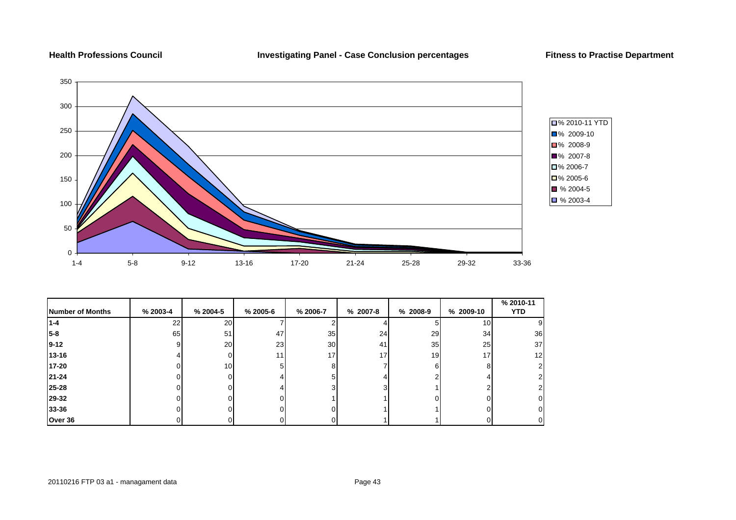

|                         |          |                 |                 |                 |          |            |                 | % 2010-11       |
|-------------------------|----------|-----------------|-----------------|-----------------|----------|------------|-----------------|-----------------|
| <b>Number of Months</b> | % 2003-4 | % 2004-5        | % 2005-6        | % 2006-7        | % 2007-8 | $% 2008-9$ | % 2009-10       | <b>YTD</b>      |
| 1-4                     | 22       | <b>20</b>       |                 |                 |          |            | 10 <sub>l</sub> | 9               |
| 5-8                     | 65       | 51              | 47              | 35              | 24       | 29         | 34              | 36              |
| $9 - 12$                | 9        | <b>20</b>       | 23              | 30 <sup>1</sup> | 41       | 35         | 25              | 37              |
| $13 - 16$               |          | ΩI              | 11 <sub>1</sub> | 17 <sub>1</sub> | 17       | 19         | 17              | 12 <sub>1</sub> |
| 17-20                   |          | 10 <sup>1</sup> | 5.              | я               |          | 6          | 8               | 2               |
| 21-24                   |          | U               |                 |                 |          |            |                 |                 |
| 25-28                   |          | $\Omega$        |                 |                 |          |            |                 | 2               |
| 29-32                   |          | U               |                 |                 |          |            |                 | 0               |
| 33-36                   |          | ΩI              | nı              |                 |          |            |                 | 01              |
| Over 36                 | υ        | 01              | 01              |                 |          |            | υι              | 01              |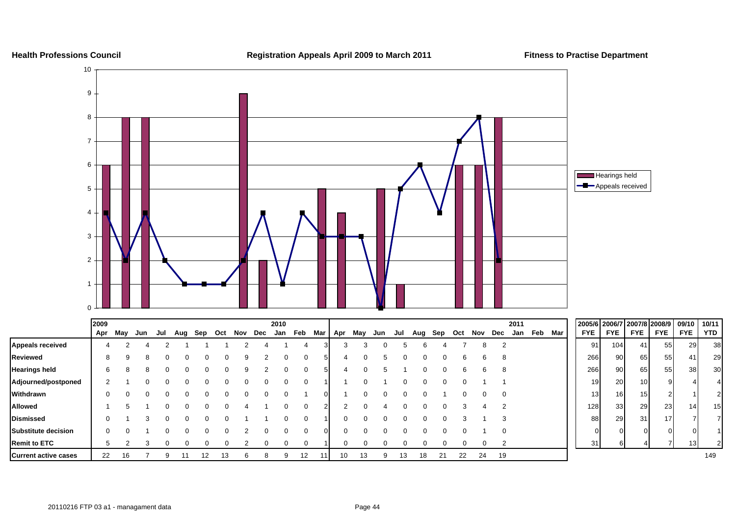

|                             | 2009 |     |     |     |     |     |     |     |     | 2010 |              |     |     |              |     |     |     |     |     |     |          | 2011 |         |            |                 |                 | 2005/6 2006/7 2007/8 2008/9 09/10 10/11 |                 |     |
|-----------------------------|------|-----|-----|-----|-----|-----|-----|-----|-----|------|--------------|-----|-----|--------------|-----|-----|-----|-----|-----|-----|----------|------|---------|------------|-----------------|-----------------|-----------------------------------------|-----------------|-----|
|                             | Apr  | May | Jun | Jul | Aug | Sep | Oct | Nov | Dec | Jan  | Feb          | Mar | Apr | May          | Jun | Jul | Aug | Sep | Oct | Nov | Dec      | Jan  | Feb Mar | <b>FYE</b> | <b>FYE</b>      | <b>FYE</b>      | <b>FYE</b>                              | <b>FYE</b>      | YTD |
| <b>Appeals received</b>     |      |     |     |     |     |     |     |     |     |      |              |     |     |              |     |     |     |     |     |     | 8        |      |         | 91         | 104             | 41              | 55                                      | 29              | 38  |
| <b>Reviewed</b>             | 8    | 9   | 8   |     | 0   |     |     |     |     |      | $\Omega$     |     |     | 0            |     |     |     |     | 6   |     | 6        | 8    |         | 266        | 90 <sup>1</sup> | 65              | 55                                      | 41              | 29  |
| <b>Hearings held</b>        |      |     |     |     | 0   |     |     | 9   |     |      | $\Omega$     |     |     | ∩            |     |     |     |     | ь.  |     | 6        |      |         | 266        | 90              | 65              | 55                                      | 38              | 30  |
| Adjourned/postponed         |      |     |     |     |     |     |     |     |     |      | 0            |     |     |              |     |     |     |     |     |     |          |      |         | 19         | 20              | 10 <sup>1</sup> |                                         |                 |     |
| Withdrawn                   |      |     |     |     |     |     |     |     |     |      |              |     |     | $\Omega$     |     |     |     |     |     |     | υ        | 0    |         | 13         | 16 <sup>1</sup> | 15 <sup>1</sup> |                                         |                 |     |
| <b>Allowed</b>              |      |     |     |     |     |     |     |     |     |      | <sup>0</sup> |     |     | <sup>0</sup> |     |     |     |     |     |     |          |      |         | 128        | 33              | 29              | 23                                      | 14 <sup>1</sup> | 15  |
| <b>Dismissed</b>            |      |     |     |     |     |     |     |     |     |      | 0            |     |     |              |     |     |     |     |     |     |          |      |         | 88         | 29              | 31 <sub>l</sub> | 17                                      |                 |     |
| Substitute decision         |      |     |     |     |     |     |     |     |     |      |              |     |     |              |     |     |     |     |     |     |          |      |         |            | οI              |                 |                                         |                 |     |
| <b>Remit to ETC</b>         |      |     |     |     |     |     |     |     |     |      |              |     |     |              |     |     |     |     |     |     |          |      |         | 31         |                 |                 |                                         | 131             |     |
| <b>Current active cases</b> | 22   | 16  |     |     |     | 12  |     | n   |     |      | 12           |     | 10  | 13           |     | 13  | 18  | 21  | 22  |     | 19<br>24 |      |         |            |                 |                 |                                         |                 | 149 |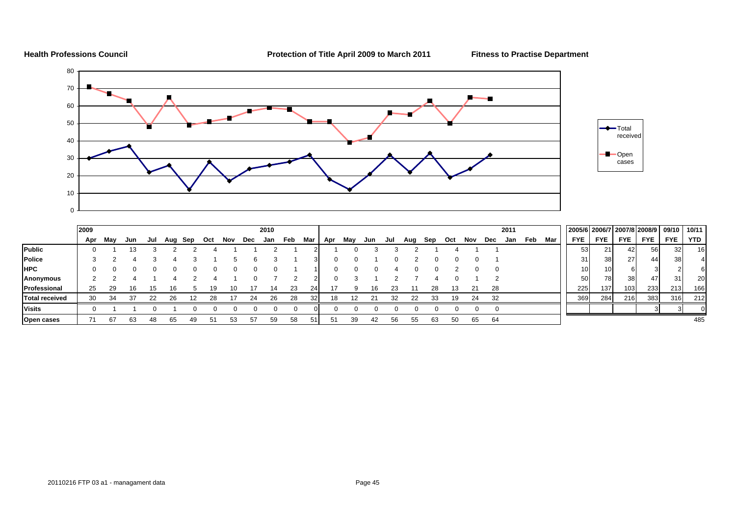

**Health Professions Council Protection of Title April 2009 to March 2011 Fitness to Practise Department**

| Total<br>received |  |
|-------------------|--|
| Open<br>cases     |  |
|                   |  |

|                       | 2009 |     | 2010 |     |     |     |     |     |     |     |     |                 | 2011 |     |     |     |     |     |     |     |     | 2005/6 2006/7 2007/8 2008/9   09/10 |            |                 |                  |                 | 10/11           |            |            |
|-----------------------|------|-----|------|-----|-----|-----|-----|-----|-----|-----|-----|-----------------|------|-----|-----|-----|-----|-----|-----|-----|-----|-------------------------------------|------------|-----------------|------------------|-----------------|-----------------|------------|------------|
|                       | Apr  | May | Jun  | Jul | Aug | Sep | Oct | Nov | Dec | Jan | Feb | Mar             | Apr  | May | Jun | Jul | Aug | Sep | Oct | Nov | Dec | Jan                                 | Mar<br>Feb | <b>FYE</b>      | <b>FYE</b>       | <b>FYE</b>      | <b>FYE</b>      | <b>FYE</b> | <b>YTD</b> |
| Public                |      |     |      |     |     |     |     |     |     |     |     |                 |      |     |     |     |     |     |     |     |     |                                     |            | 53              | 21 <sup>1</sup>  | 421             | <b>56</b>       | 32         | 16         |
| Police                |      |     |      |     |     |     |     |     |     |     |     |                 |      |     |     |     |     |     |     |     |     |                                     |            | 311             | 38               | 27 <sup>1</sup> | 44 <sup>1</sup> | 38         |            |
| <b>HPC</b>            |      |     |      |     |     |     |     |     |     |     |     |                 |      |     |     |     |     |     |     |     |     |                                     |            | 10 <sub>1</sub> | 10I              | 6               | 3               |            | 61         |
| Anonymous             |      |     |      |     |     |     |     |     |     |     |     |                 |      |     |     |     |     |     |     |     |     |                                     |            | 50              | 78 I             | 38 <sup>l</sup> | 47              | 31         | 20         |
| Professional          | 25   | 29  | 16   |     | 16. |     | 19. |     |     | 14  | 23  |                 |      |     | 16  | 23  |     | 28  |     | 21  | 28  |                                     |            | 225             | 137 <sub>l</sub> | 103             | 2331            | 213        | 166        |
| <b>Total received</b> | 30   | 34  |      |     | 26  | ィつ  | 28  |     | 24  | 26  | 28  | 32 <sub>l</sub> |      |     |     | 32  |     | 33  | 19  | 24  | 32  |                                     |            | 369             | 284              | 216             | 383             | 316        | 212        |
| <b>Visits</b>         |      |     |      |     |     |     |     |     |     |     |     |                 |      |     |     |     |     |     |     |     |     |                                     |            |                 |                  |                 |                 |            |            |
| Open cases            |      |     |      |     |     |     |     |     | 57  |     | 58  |                 |      | 39  |     | 56  |     | 63  |     | 65  | 64  |                                     |            |                 |                  |                 |                 |            | 485        |